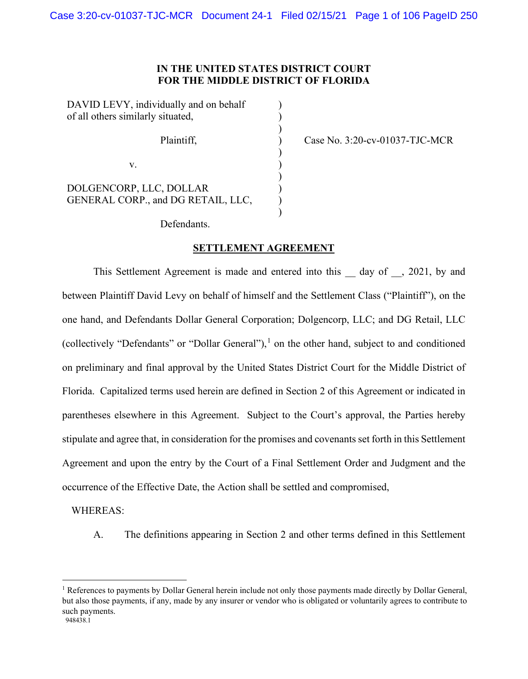# **IN THE UNITED STATES DISTRICT COURT FOR THE MIDDLE DISTRICT OF FLORIDA**

) )

)

| DAVID LEVY, individually and on behalf<br>of all others similarly situated, |  |
|-----------------------------------------------------------------------------|--|
| Plaintiff,                                                                  |  |
| V.                                                                          |  |
| DOLGENCORP, LLC, DOLLAR<br>GENERAL CORP., and DG RETAIL, LLC,               |  |

Case No. 3:20-cv-01037-TJC-MCR

Defendants.

#### **SETTLEMENT AGREEMENT**

This Settlement Agreement is made and entered into this day of , 2021, by and between Plaintiff David Levy on behalf of himself and the Settlement Class ("Plaintiff"), on the one hand, and Defendants Dollar General Corporation; Dolgencorp, LLC; and DG Retail, LLC (collectively "Defendants" or "Dollar General"),<sup>[1](#page-0-0)</sup> on the other hand, subject to and conditioned on preliminary and final approval by the United States District Court for the Middle District of Florida. Capitalized terms used herein are defined in Section 2 of this Agreement or indicated in parentheses elsewhere in this Agreement. Subject to the Court's approval, the Parties hereby stipulate and agree that, in consideration for the promises and covenants set forth in this Settlement Agreement and upon the entry by the Court of a Final Settlement Order and Judgment and the occurrence of the Effective Date, the Action shall be settled and compromised,

#### WHEREAS:

A. The definitions appearing in Section 2 and other terms defined in this Settlement

<span id="page-0-0"></span> <sup>948438.1</sup>  <sup>1</sup> References to payments by Dollar General herein include not only those payments made directly by Dollar General, but also those payments, if any, made by any insurer or vendor who is obligated or voluntarily agrees to contribute to such payments.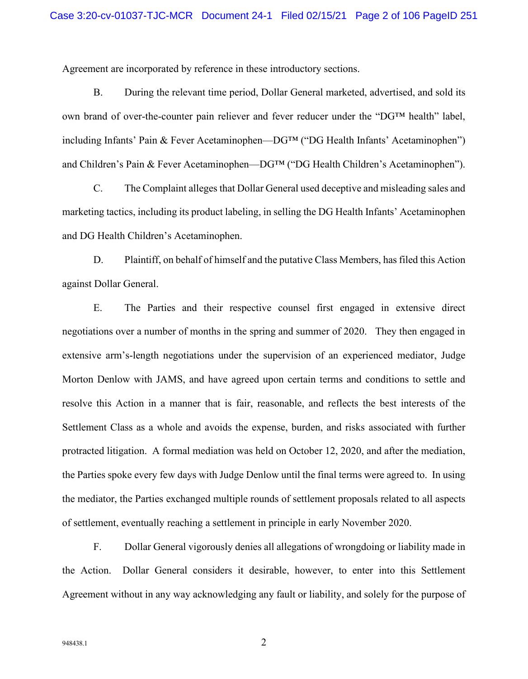Agreement are incorporated by reference in these introductory sections.

B. During the relevant time period, Dollar General marketed, advertised, and sold its own brand of over-the-counter pain reliever and fever reducer under the "DG™ health" label, including Infants' Pain & Fever Acetaminophen—DG™ ("DG Health Infants' Acetaminophen") and Children's Pain & Fever Acetaminophen—DG™ ("DG Health Children's Acetaminophen").

C. The Complaint alleges that Dollar General used deceptive and misleading sales and marketing tactics, including its product labeling, in selling the DG Health Infants' Acetaminophen and DG Health Children's Acetaminophen.

D. Plaintiff, on behalf of himself and the putative Class Members, has filed this Action against Dollar General.

E. The Parties and their respective counsel first engaged in extensive direct negotiations over a number of months in the spring and summer of 2020. They then engaged in extensive arm's-length negotiations under the supervision of an experienced mediator, Judge Morton Denlow with JAMS, and have agreed upon certain terms and conditions to settle and resolve this Action in a manner that is fair, reasonable, and reflects the best interests of the Settlement Class as a whole and avoids the expense, burden, and risks associated with further protracted litigation. A formal mediation was held on October 12, 2020, and after the mediation, the Parties spoke every few days with Judge Denlow until the final terms were agreed to. In using the mediator, the Parties exchanged multiple rounds of settlement proposals related to all aspects of settlement, eventually reaching a settlement in principle in early November 2020.

F. Dollar General vigorously denies all allegations of wrongdoing or liability made in the Action. Dollar General considers it desirable, however, to enter into this Settlement Agreement without in any way acknowledging any fault or liability, and solely for the purpose of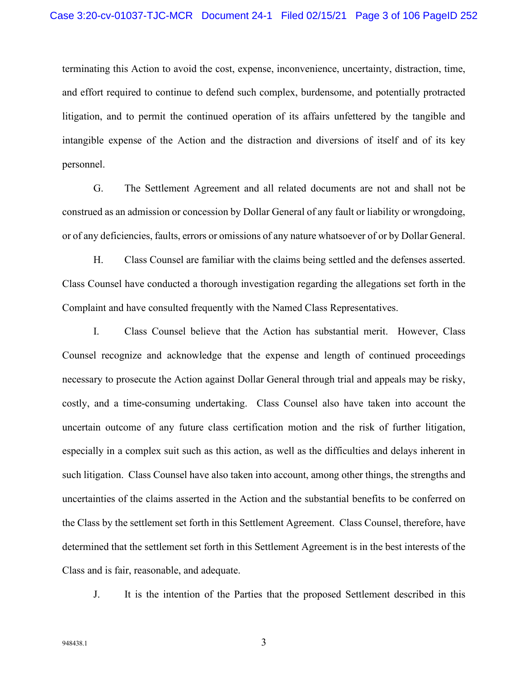terminating this Action to avoid the cost, expense, inconvenience, uncertainty, distraction, time, and effort required to continue to defend such complex, burdensome, and potentially protracted litigation, and to permit the continued operation of its affairs unfettered by the tangible and intangible expense of the Action and the distraction and diversions of itself and of its key personnel.

G. The Settlement Agreement and all related documents are not and shall not be construed as an admission or concession by Dollar General of any fault or liability or wrongdoing, or of any deficiencies, faults, errors or omissions of any nature whatsoever of or by Dollar General.

H. Class Counsel are familiar with the claims being settled and the defenses asserted. Class Counsel have conducted a thorough investigation regarding the allegations set forth in the Complaint and have consulted frequently with the Named Class Representatives.

I. Class Counsel believe that the Action has substantial merit. However, Class Counsel recognize and acknowledge that the expense and length of continued proceedings necessary to prosecute the Action against Dollar General through trial and appeals may be risky, costly, and a time-consuming undertaking. Class Counsel also have taken into account the uncertain outcome of any future class certification motion and the risk of further litigation, especially in a complex suit such as this action, as well as the difficulties and delays inherent in such litigation. Class Counsel have also taken into account, among other things, the strengths and uncertainties of the claims asserted in the Action and the substantial benefits to be conferred on the Class by the settlement set forth in this Settlement Agreement. Class Counsel, therefore, have determined that the settlement set forth in this Settlement Agreement is in the best interests of the Class and is fair, reasonable, and adequate.

J. It is the intention of the Parties that the proposed Settlement described in this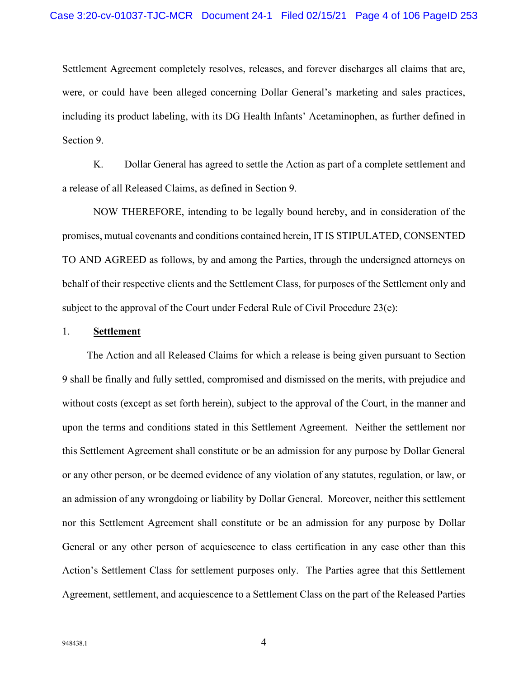Settlement Agreement completely resolves, releases, and forever discharges all claims that are, were, or could have been alleged concerning Dollar General's marketing and sales practices, including its product labeling, with its DG Health Infants' Acetaminophen, as further defined in Section 9.

K. Dollar General has agreed to settle the Action as part of a complete settlement and a release of all Released Claims, as defined in Section 9.

NOW THEREFORE, intending to be legally bound hereby, and in consideration of the promises, mutual covenants and conditions contained herein, IT IS STIPULATED, CONSENTED TO AND AGREED as follows, by and among the Parties, through the undersigned attorneys on behalf of their respective clients and the Settlement Class, for purposes of the Settlement only and subject to the approval of the Court under Federal Rule of Civil Procedure  $23(e)$ :

### 1. **Settlement**

The Action and all Released Claims for which a release is being given pursuant to Section 9 shall be finally and fully settled, compromised and dismissed on the merits, with prejudice and without costs (except as set forth herein), subject to the approval of the Court, in the manner and upon the terms and conditions stated in this Settlement Agreement. Neither the settlement nor this Settlement Agreement shall constitute or be an admission for any purpose by Dollar General or any other person, or be deemed evidence of any violation of any statutes, regulation, or law, or an admission of any wrongdoing or liability by Dollar General. Moreover, neither this settlement nor this Settlement Agreement shall constitute or be an admission for any purpose by Dollar General or any other person of acquiescence to class certification in any case other than this Action's Settlement Class for settlement purposes only. The Parties agree that this Settlement Agreement, settlement, and acquiescence to a Settlement Class on the part of the Released Parties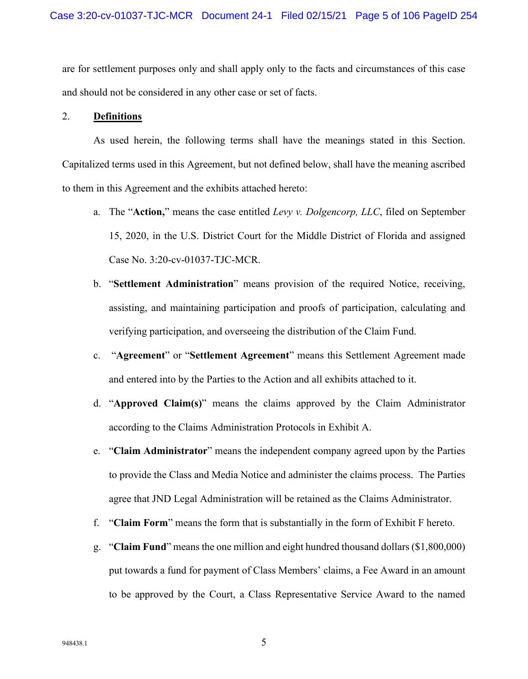are for settlement purposes only and shall apply only to the facts and circumstances of this case and should not be considered in any other case or set of facts.

#### 2. **Definitions**

As used herein, the following terms shall have the meanings stated in this Section. Capitalized terms used in this Agreement, but not defined below, shall have the meaning ascribed to them in this Agreement and the exhibits attached hereto:

- a. The "**Action,**" means the case entitled *Levy v. Dolgencorp, LLC*, filed on September 15, 2020, in the U.S. District Court for the Middle District of Florida and assigned Case No. 3:20-cv-01037-TJC-MCR.
- b. "**Settlement Administration**" means provision of the required Notice, receiving, assisting, and maintaining participation and proofs of participation, calculating and verifying participation, and overseeing the distribution of the Claim Fund.
- c. "**Agreement**" or "**Settlement Agreement**" means this Settlement Agreement made and entered into by the Parties to the Action and all exhibits attached to it.
- d. "**Approved Claim(s)**" means the claims approved by the Claim Administrator according to the Claims Administration Protocols in Exhibit A.
- e. "**Claim Administrator**" means the independent company agreed upon by the Parties to provide the Class and Media Notice and administer the claims process. The Parties agree that JND Legal Administration will be retained as the Claims Administrator.
- f. "**Claim Form**" means the form that is substantially in the form of Exhibit F hereto.
- g. "**Claim Fund**" means the one million and eight hundred thousand dollars (\$1,800,000) put towards a fund for payment of Class Members' claims, a Fee Award in an amount to be approved by the Court, a Class Representative Service Award to the named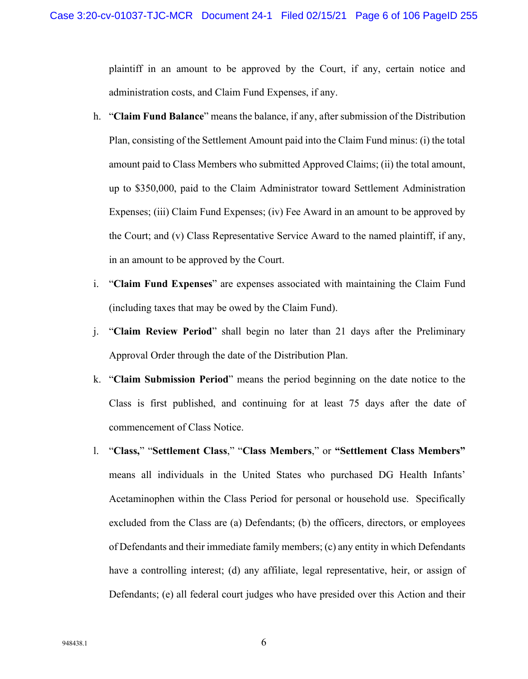plaintiff in an amount to be approved by the Court, if any, certain notice and administration costs, and Claim Fund Expenses, if any.

- h. "**Claim Fund Balance**" means the balance, if any, after submission of the Distribution Plan, consisting of the Settlement Amount paid into the Claim Fund minus: (i) the total amount paid to Class Members who submitted Approved Claims; (ii) the total amount, up to \$350,000, paid to the Claim Administrator toward Settlement Administration Expenses; (iii) Claim Fund Expenses; (iv) Fee Award in an amount to be approved by the Court; and (v) Class Representative Service Award to the named plaintiff, if any, in an amount to be approved by the Court.
- i. "**Claim Fund Expenses**" are expenses associated with maintaining the Claim Fund (including taxes that may be owed by the Claim Fund).
- j. "**Claim Review Period**" shall begin no later than 21 days after the Preliminary Approval Order through the date of the Distribution Plan.
- k. "**Claim Submission Period**" means the period beginning on the date notice to the Class is first published, and continuing for at least 75 days after the date of commencement of Class Notice.
- l. "**Class,**" "**Settlement Class**," "**Class Members**," or **"Settlement Class Members"** means all individuals in the United States who purchased DG Health Infants' Acetaminophen within the Class Period for personal or household use. Specifically excluded from the Class are (a) Defendants; (b) the officers, directors, or employees of Defendants and their immediate family members; (c) any entity in which Defendants have a controlling interest; (d) any affiliate, legal representative, heir, or assign of Defendants; (e) all federal court judges who have presided over this Action and their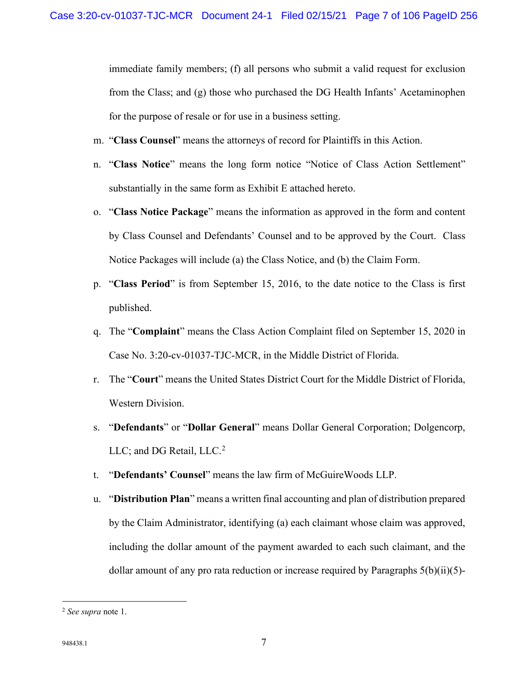immediate family members; (f) all persons who submit a valid request for exclusion from the Class; and (g) those who purchased the DG Health Infants' Acetaminophen for the purpose of resale or for use in a business setting.

- m. "**Class Counsel**" means the attorneys of record for Plaintiffs in this Action.
- n. "**Class Notice**" means the long form notice "Notice of Class Action Settlement" substantially in the same form as Exhibit E attached hereto.
- o. "**Class Notice Package**" means the information as approved in the form and content by Class Counsel and Defendants' Counsel and to be approved by the Court. Class Notice Packages will include (a) the Class Notice, and (b) the Claim Form.
- p. "**Class Period**" is from September 15, 2016, to the date notice to the Class is first published.
- q. The "**Complaint**" means the Class Action Complaint filed on September 15, 2020 in Case No. 3:20-cv-01037-TJC-MCR, in the Middle District of Florida.
- r. The "**Court**" means the United States District Court for the Middle District of Florida, Western Division.
- s. "**Defendants**" or "**Dollar General**" means Dollar General Corporation; Dolgencorp, LLC; and DG Retail,  $LLC<sup>2</sup>$  $LLC<sup>2</sup>$  $LLC<sup>2</sup>$
- t. "**Defendants' Counsel**" means the law firm of McGuireWoods LLP.
- u. "**Distribution Plan**" means a written final accounting and plan of distribution prepared by the Claim Administrator, identifying (a) each claimant whose claim was approved, including the dollar amount of the payment awarded to each such claimant, and the dollar amount of any pro rata reduction or increase required by Paragraphs  $5(b)(ii)(5)$ -

<span id="page-6-0"></span><sup>2</sup> *See supra* note 1.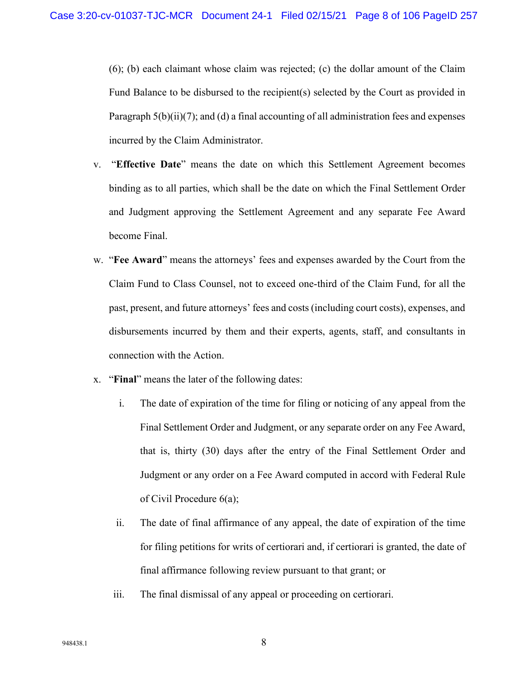(6); (b) each claimant whose claim was rejected; (c) the dollar amount of the Claim Fund Balance to be disbursed to the recipient(s) selected by the Court as provided in Paragraph 5(b)(ii)(7); and (d) a final accounting of all administration fees and expenses incurred by the Claim Administrator.

- v. "**Effective Date**" means the date on which this Settlement Agreement becomes binding as to all parties, which shall be the date on which the Final Settlement Order and Judgment approving the Settlement Agreement and any separate Fee Award become Final.
- w. "**Fee Award**" means the attorneys' fees and expenses awarded by the Court from the Claim Fund to Class Counsel, not to exceed one-third of the Claim Fund, for all the past, present, and future attorneys' fees and costs (including court costs), expenses, and disbursements incurred by them and their experts, agents, staff, and consultants in connection with the Action.
- x. "**Final**" means the later of the following dates:
	- i. The date of expiration of the time for filing or noticing of any appeal from the Final Settlement Order and Judgment, or any separate order on any Fee Award, that is, thirty (30) days after the entry of the Final Settlement Order and Judgment or any order on a Fee Award computed in accord with Federal Rule of Civil Procedure 6(a);
	- ii. The date of final affirmance of any appeal, the date of expiration of the time for filing petitions for writs of certiorari and, if certiorari is granted, the date of final affirmance following review pursuant to that grant; or
	- iii. The final dismissal of any appeal or proceeding on certiorari.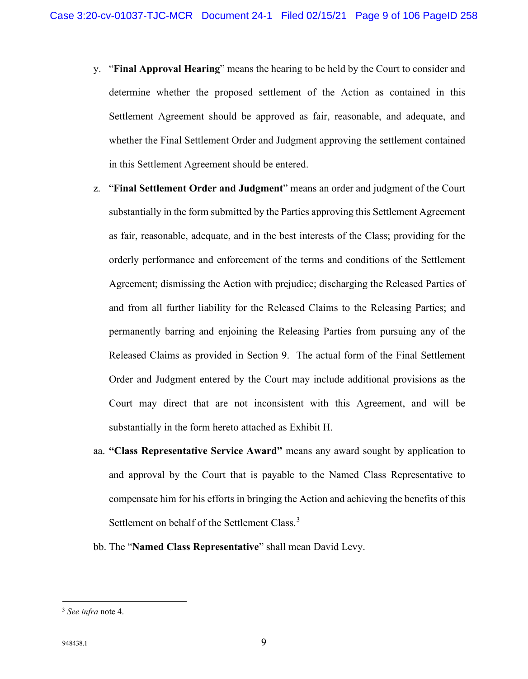- y. "**Final Approval Hearing**" means the hearing to be held by the Court to consider and determine whether the proposed settlement of the Action as contained in this Settlement Agreement should be approved as fair, reasonable, and adequate, and whether the Final Settlement Order and Judgment approving the settlement contained in this Settlement Agreement should be entered.
- z. "**Final Settlement Order and Judgment**" means an order and judgment of the Court substantially in the form submitted by the Parties approving this Settlement Agreement as fair, reasonable, adequate, and in the best interests of the Class; providing for the orderly performance and enforcement of the terms and conditions of the Settlement Agreement; dismissing the Action with prejudice; discharging the Released Parties of and from all further liability for the Released Claims to the Releasing Parties; and permanently barring and enjoining the Releasing Parties from pursuing any of the Released Claims as provided in Section 9. The actual form of the Final Settlement Order and Judgment entered by the Court may include additional provisions as the Court may direct that are not inconsistent with this Agreement, and will be substantially in the form hereto attached as Exhibit H.
- aa. **"Class Representative Service Award"** means any award sought by application to and approval by the Court that is payable to the Named Class Representative to compensate him for his efforts in bringing the Action and achieving the benefits of this Settlement on behalf of the Settlement Class.<sup>[3](#page-8-0)</sup>
- bb. The "**Named Class Representative**" shall mean David Levy.

<span id="page-8-0"></span><sup>3</sup> *See infra* note 4.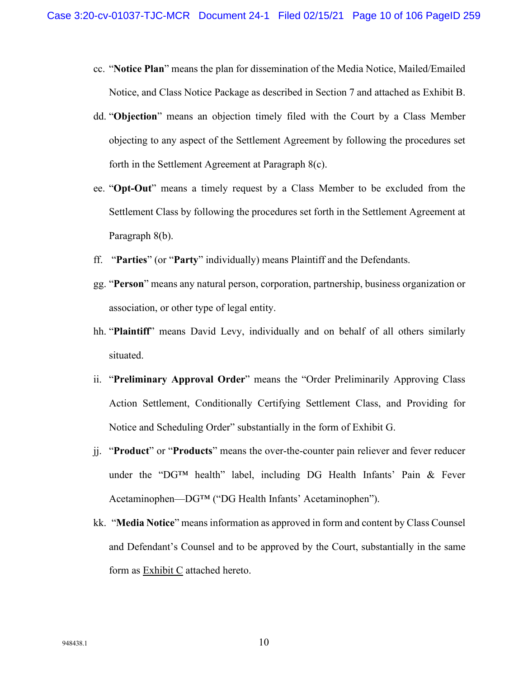- cc. "**Notice Plan**" means the plan for dissemination of the Media Notice, Mailed/Emailed Notice, and Class Notice Package as described in Section 7 and attached as Exhibit B.
- dd. "**Objection**" means an objection timely filed with the Court by a Class Member objecting to any aspect of the Settlement Agreement by following the procedures set forth in the Settlement Agreement at Paragraph 8(c).
- ee. "**Opt-Out**" means a timely request by a Class Member to be excluded from the Settlement Class by following the procedures set forth in the Settlement Agreement at Paragraph 8(b).
- ff. "**Parties**" (or "**Party**" individually) means Plaintiff and the Defendants.
- gg. "**Person**" means any natural person, corporation, partnership, business organization or association, or other type of legal entity.
- hh. "**Plaintiff**" means David Levy, individually and on behalf of all others similarly situated.
- ii. "**Preliminary Approval Order**" means the "Order Preliminarily Approving Class Action Settlement, Conditionally Certifying Settlement Class, and Providing for Notice and Scheduling Order" substantially in the form of Exhibit G.
- jj. "**Product**" or "**Products**" means the over-the-counter pain reliever and fever reducer under the "DG™ health" label, including DG Health Infants' Pain & Fever Acetaminophen—DG™ ("DG Health Infants' Acetaminophen").
- kk. "**Media Notice**" means information as approved in form and content by Class Counsel and Defendant's Counsel and to be approved by the Court, substantially in the same form as Exhibit C attached hereto.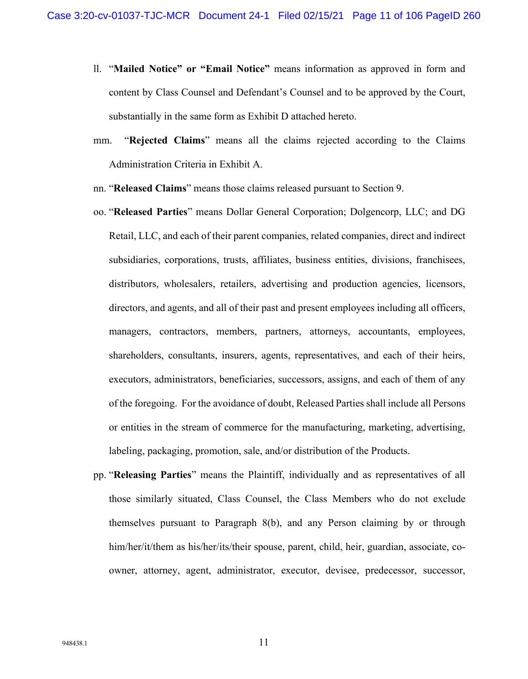- ll. "**Mailed Notice" or "Email Notice"** means information as approved in form and content by Class Counsel and Defendant's Counsel and to be approved by the Court, substantially in the same form as Exhibit D attached hereto.
- mm. "**Rejected Claims**" means all the claims rejected according to the Claims Administration Criteria in Exhibit A.
- nn. "**Released Claims**" means those claims released pursuant to Section 9.
- oo. "**Released Parties**" means Dollar General Corporation; Dolgencorp, LLC; and DG Retail, LLC, and each of their parent companies, related companies, direct and indirect subsidiaries, corporations, trusts, affiliates, business entities, divisions, franchisees, distributors, wholesalers, retailers, advertising and production agencies, licensors, directors, and agents, and all of their past and present employees including all officers, managers, contractors, members, partners, attorneys, accountants, employees, shareholders, consultants, insurers, agents, representatives, and each of their heirs, executors, administrators, beneficiaries, successors, assigns, and each of them of any of the foregoing. For the avoidance of doubt, Released Parties shall include all Persons or entities in the stream of commerce for the manufacturing, marketing, advertising, labeling, packaging, promotion, sale, and/or distribution of the Products.
- pp. "**Releasing Parties**" means the Plaintiff, individually and as representatives of all those similarly situated, Class Counsel, the Class Members who do not exclude themselves pursuant to Paragraph 8(b), and any Person claiming by or through him/her/it/them as his/her/its/their spouse, parent, child, heir, guardian, associate, coowner, attorney, agent, administrator, executor, devisee, predecessor, successor,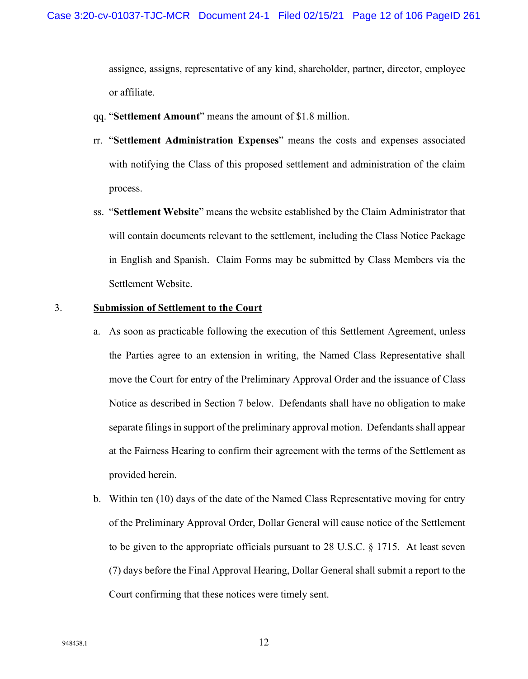assignee, assigns, representative of any kind, shareholder, partner, director, employee or affiliate.

- qq. "**Settlement Amount**" means the amount of \$1.8 million.
- rr. "**Settlement Administration Expenses**" means the costs and expenses associated with notifying the Class of this proposed settlement and administration of the claim process.
- ss. "**Settlement Website**" means the website established by the Claim Administrator that will contain documents relevant to the settlement, including the Class Notice Package in English and Spanish. Claim Forms may be submitted by Class Members via the Settlement Website.

### 3. **Submission of Settlement to the Court**

- a. As soon as practicable following the execution of this Settlement Agreement, unless the Parties agree to an extension in writing, the Named Class Representative shall move the Court for entry of the Preliminary Approval Order and the issuance of Class Notice as described in Section 7 below. Defendants shall have no obligation to make separate filings in support of the preliminary approval motion. Defendants shall appear at the Fairness Hearing to confirm their agreement with the terms of the Settlement as provided herein.
- b. Within ten (10) days of the date of the Named Class Representative moving for entry of the Preliminary Approval Order, Dollar General will cause notice of the Settlement to be given to the appropriate officials pursuant to 28 U.S.C. § 1715. At least seven (7) days before the Final Approval Hearing, Dollar General shall submit a report to the Court confirming that these notices were timely sent.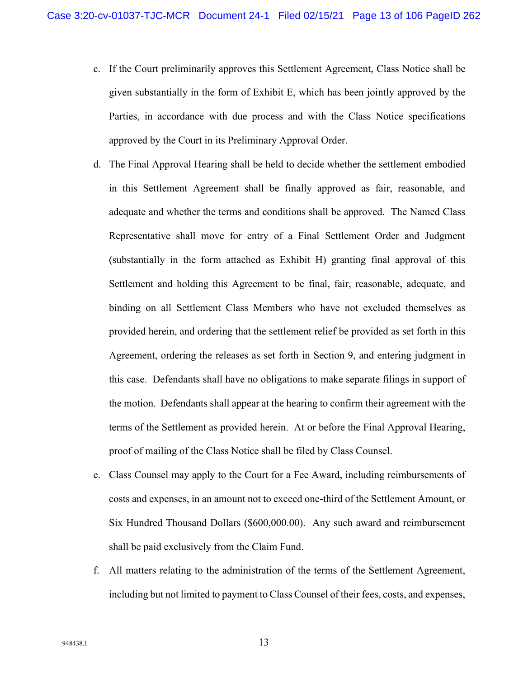- c. If the Court preliminarily approves this Settlement Agreement, Class Notice shall be given substantially in the form of Exhibit E, which has been jointly approved by the Parties, in accordance with due process and with the Class Notice specifications approved by the Court in its Preliminary Approval Order.
- d. The Final Approval Hearing shall be held to decide whether the settlement embodied in this Settlement Agreement shall be finally approved as fair, reasonable, and adequate and whether the terms and conditions shall be approved. The Named Class Representative shall move for entry of a Final Settlement Order and Judgment (substantially in the form attached as Exhibit H) granting final approval of this Settlement and holding this Agreement to be final, fair, reasonable, adequate, and binding on all Settlement Class Members who have not excluded themselves as provided herein, and ordering that the settlement relief be provided as set forth in this Agreement, ordering the releases as set forth in Section 9, and entering judgment in this case. Defendants shall have no obligations to make separate filings in support of the motion. Defendants shall appear at the hearing to confirm their agreement with the terms of the Settlement as provided herein. At or before the Final Approval Hearing, proof of mailing of the Class Notice shall be filed by Class Counsel.
- e. Class Counsel may apply to the Court for a Fee Award, including reimbursements of costs and expenses, in an amount not to exceed one-third of the Settlement Amount, or Six Hundred Thousand Dollars (\$600,000.00). Any such award and reimbursement shall be paid exclusively from the Claim Fund.
- f. All matters relating to the administration of the terms of the Settlement Agreement, including but not limited to payment to Class Counsel of their fees, costs, and expenses,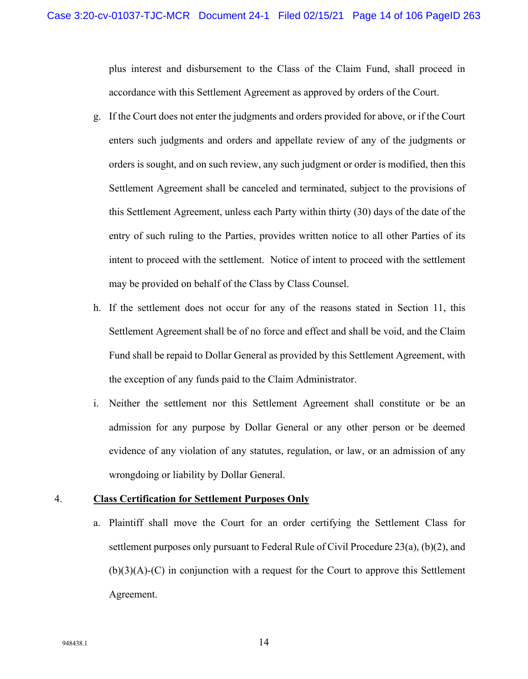plus interest and disbursement to the Class of the Claim Fund, shall proceed in accordance with this Settlement Agreement as approved by orders of the Court.

- g. If the Court does not enter the judgments and orders provided for above, or if the Court enters such judgments and orders and appellate review of any of the judgments or orders is sought, and on such review, any such judgment or order is modified, then this Settlement Agreement shall be canceled and terminated, subject to the provisions of this Settlement Agreement, unless each Party within thirty (30) days of the date of the entry of such ruling to the Parties, provides written notice to all other Parties of its intent to proceed with the settlement. Notice of intent to proceed with the settlement may be provided on behalf of the Class by Class Counsel.
- h. If the settlement does not occur for any of the reasons stated in Section 11, this Settlement Agreement shall be of no force and effect and shall be void, and the Claim Fund shall be repaid to Dollar General as provided by this Settlement Agreement, with the exception of any funds paid to the Claim Administrator.
- i. Neither the settlement nor this Settlement Agreement shall constitute or be an admission for any purpose by Dollar General or any other person or be deemed evidence of any violation of any statutes, regulation, or law, or an admission of any wrongdoing or liability by Dollar General.

### 4. **Class Certification for Settlement Purposes Only**

a. Plaintiff shall move the Court for an order certifying the Settlement Class for settlement purposes only pursuant to Federal Rule of Civil Procedure 23(a), (b)(2), and  $(b)(3)(A)-C$  in conjunction with a request for the Court to approve this Settlement Agreement.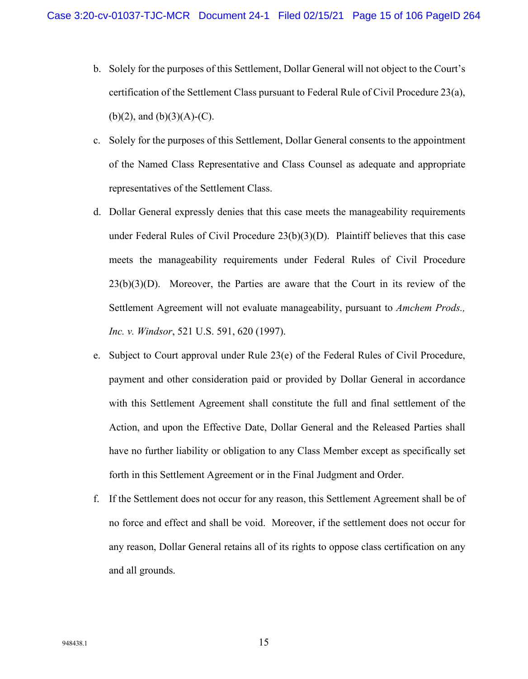- b. Solely for the purposes of this Settlement, Dollar General will not object to the Court's certification of the Settlement Class pursuant to Federal Rule of Civil Procedure 23(a),  $(b)(2)$ , and  $(b)(3)(A)-(C)$ .
- c. Solely for the purposes of this Settlement, Dollar General consents to the appointment of the Named Class Representative and Class Counsel as adequate and appropriate representatives of the Settlement Class.
- d. Dollar General expressly denies that this case meets the manageability requirements under Federal Rules of Civil Procedure  $23(b)(3)(D)$ . Plaintiff believes that this case meets the manageability requirements under Federal Rules of Civil Procedure  $23(b)(3)(D)$ . Moreover, the Parties are aware that the Court in its review of the Settlement Agreement will not evaluate manageability, pursuant to *Amchem Prods., Inc. v. Windsor*, 521 U.S. 591, 620 (1997).
- e. Subject to Court approval under Rule 23(e) of the Federal Rules of Civil Procedure, payment and other consideration paid or provided by Dollar General in accordance with this Settlement Agreement shall constitute the full and final settlement of the Action, and upon the Effective Date, Dollar General and the Released Parties shall have no further liability or obligation to any Class Member except as specifically set forth in this Settlement Agreement or in the Final Judgment and Order.
- f. If the Settlement does not occur for any reason, this Settlement Agreement shall be of no force and effect and shall be void. Moreover, if the settlement does not occur for any reason, Dollar General retains all of its rights to oppose class certification on any and all grounds.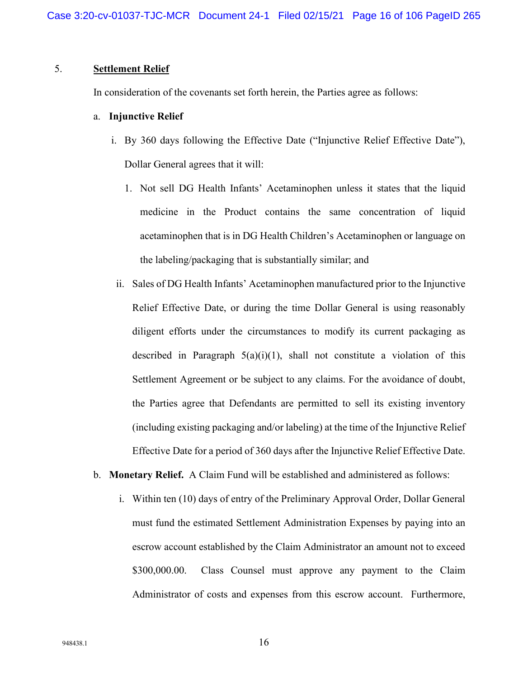### 5. **Settlement Relief**

In consideration of the covenants set forth herein, the Parties agree as follows:

#### a. **Injunctive Relief**

- i. By 360 days following the Effective Date ("Injunctive Relief Effective Date"), Dollar General agrees that it will:
	- 1. Not sell DG Health Infants' Acetaminophen unless it states that the liquid medicine in the Product contains the same concentration of liquid acetaminophen that is in DG Health Children's Acetaminophen or language on the labeling/packaging that is substantially similar; and
- ii. Sales of DG Health Infants' Acetaminophen manufactured prior to the Injunctive Relief Effective Date, or during the time Dollar General is using reasonably diligent efforts under the circumstances to modify its current packaging as described in Paragraph  $5(a)(i)(1)$ , shall not constitute a violation of this Settlement Agreement or be subject to any claims. For the avoidance of doubt, the Parties agree that Defendants are permitted to sell its existing inventory (including existing packaging and/or labeling) at the time of the Injunctive Relief Effective Date for a period of 360 days after the Injunctive Relief Effective Date.
- b. **Monetary Relief.** A Claim Fund will be established and administered as follows:
	- i. Within ten (10) days of entry of the Preliminary Approval Order, Dollar General must fund the estimated Settlement Administration Expenses by paying into an escrow account established by the Claim Administrator an amount not to exceed \$300,000.00. Class Counsel must approve any payment to the Claim Administrator of costs and expenses from this escrow account. Furthermore,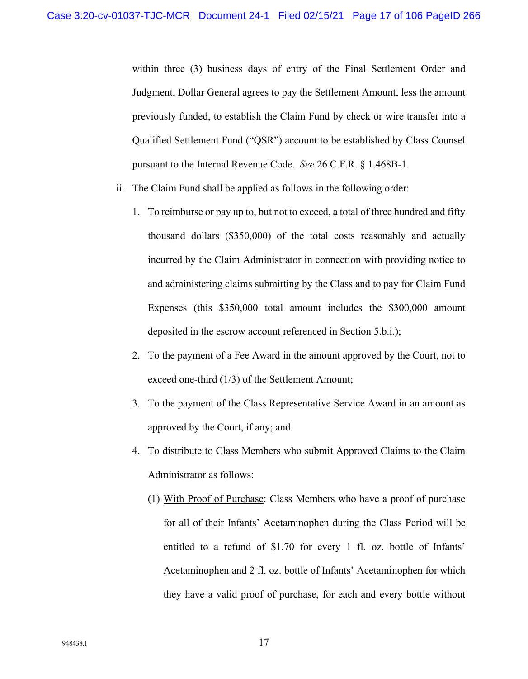within three (3) business days of entry of the Final Settlement Order and Judgment, Dollar General agrees to pay the Settlement Amount, less the amount previously funded, to establish the Claim Fund by check or wire transfer into a Qualified Settlement Fund ("QSR") account to be established by Class Counsel pursuant to the Internal Revenue Code. *See* 26 C.F.R. § 1.468B-1.

- ii. The Claim Fund shall be applied as follows in the following order:
	- 1. To reimburse or pay up to, but not to exceed, a total of three hundred and fifty thousand dollars (\$350,000) of the total costs reasonably and actually incurred by the Claim Administrator in connection with providing notice to and administering claims submitting by the Class and to pay for Claim Fund Expenses (this \$350,000 total amount includes the \$300,000 amount deposited in the escrow account referenced in Section 5.b.i.);
	- 2. To the payment of a Fee Award in the amount approved by the Court, not to exceed one-third (1/3) of the Settlement Amount;
	- 3. To the payment of the Class Representative Service Award in an amount as approved by the Court, if any; and
	- 4. To distribute to Class Members who submit Approved Claims to the Claim Administrator as follows:
		- (1) With Proof of Purchase: Class Members who have a proof of purchase for all of their Infants' Acetaminophen during the Class Period will be entitled to a refund of \$1.70 for every 1 fl. oz. bottle of Infants' Acetaminophen and 2 fl. oz. bottle of Infants' Acetaminophen for which they have a valid proof of purchase, for each and every bottle without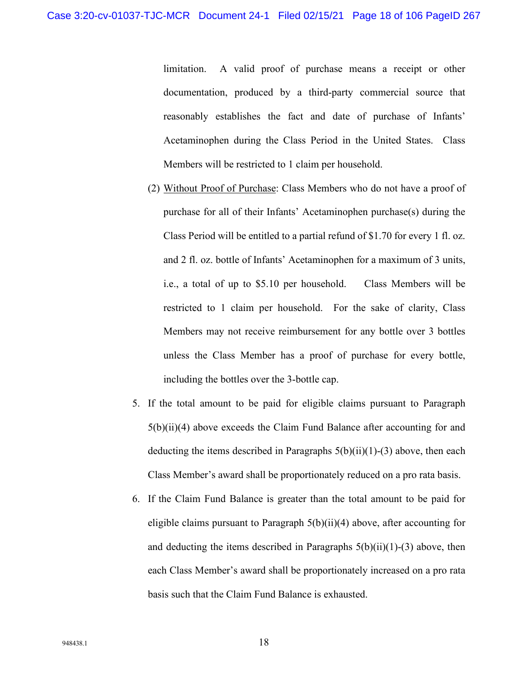limitation. A valid proof of purchase means a receipt or other documentation, produced by a third-party commercial source that reasonably establishes the fact and date of purchase of Infants' Acetaminophen during the Class Period in the United States. Class Members will be restricted to 1 claim per household.

- (2) Without Proof of Purchase: Class Members who do not have a proof of purchase for all of their Infants' Acetaminophen purchase(s) during the Class Period will be entitled to a partial refund of \$1.70 for every 1 fl. oz. and 2 fl. oz. bottle of Infants' Acetaminophen for a maximum of 3 units, i.e., a total of up to \$5.10 per household. Class Members will be restricted to 1 claim per household. For the sake of clarity, Class Members may not receive reimbursement for any bottle over 3 bottles unless the Class Member has a proof of purchase for every bottle, including the bottles over the 3-bottle cap.
- 5. If the total amount to be paid for eligible claims pursuant to Paragraph 5(b)(ii)(4) above exceeds the Claim Fund Balance after accounting for and deducting the items described in Paragraphs  $5(b)(ii)(1)-(3)$  above, then each Class Member's award shall be proportionately reduced on a pro rata basis.
- 6. If the Claim Fund Balance is greater than the total amount to be paid for eligible claims pursuant to Paragraph 5(b)(ii)(4) above, after accounting for and deducting the items described in Paragraphs  $5(b)(ii)(1)-(3)$  above, then each Class Member's award shall be proportionately increased on a pro rata basis such that the Claim Fund Balance is exhausted.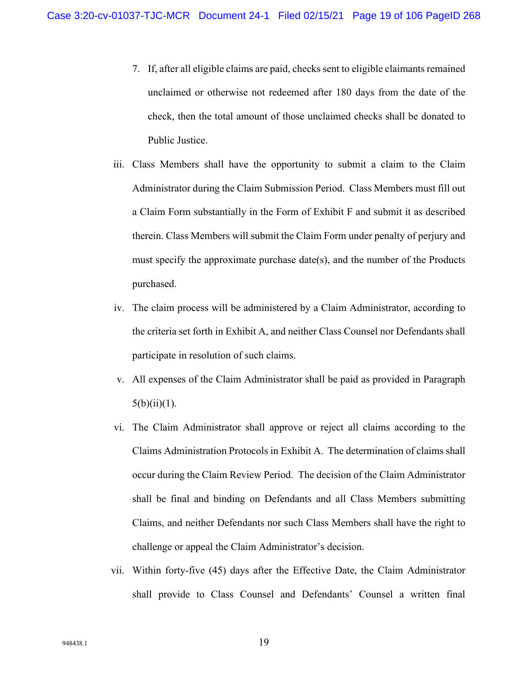- 7. If, after all eligible claims are paid, checks sent to eligible claimants remained unclaimed or otherwise not redeemed after 180 days from the date of the check, then the total amount of those unclaimed checks shall be donated to Public Justice.
- iii. Class Members shall have the opportunity to submit a claim to the Claim Administrator during the Claim Submission Period. Class Members must fill out a Claim Form substantially in the Form of Exhibit F and submit it as described therein. Class Members will submit the Claim Form under penalty of perjury and must specify the approximate purchase date(s), and the number of the Products purchased.
- iv. The claim process will be administered by a Claim Administrator, according to the criteria set forth in Exhibit A, and neither Class Counsel nor Defendants shall participate in resolution of such claims.
- v. All expenses of the Claim Administrator shall be paid as provided in Paragraph  $5(b)(ii)(1)$ .
- vi. The Claim Administrator shall approve or reject all claims according to the Claims Administration Protocols in Exhibit A. The determination of claims shall occur during the Claim Review Period. The decision of the Claim Administrator shall be final and binding on Defendants and all Class Members submitting Claims, and neither Defendants nor such Class Members shall have the right to challenge or appeal the Claim Administrator's decision.
- vii. Within forty-five (45) days after the Effective Date, the Claim Administrator shall provide to Class Counsel and Defendants' Counsel a written final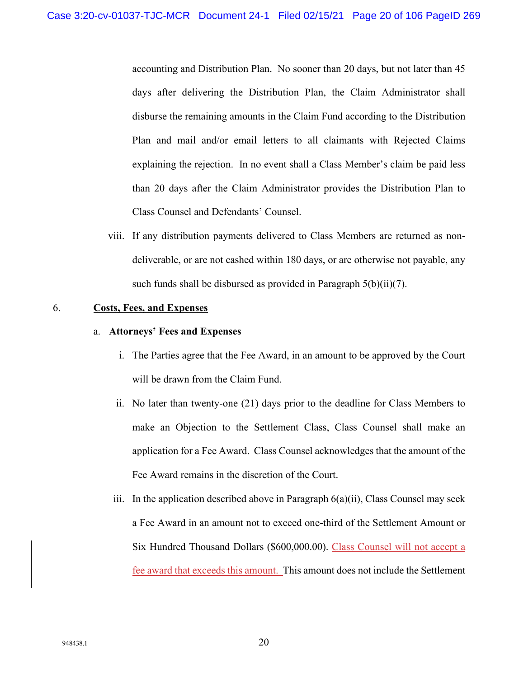accounting and Distribution Plan. No sooner than 20 days, but not later than 45 days after delivering the Distribution Plan, the Claim Administrator shall disburse the remaining amounts in the Claim Fund according to the Distribution Plan and mail and/or email letters to all claimants with Rejected Claims explaining the rejection. In no event shall a Class Member's claim be paid less than 20 days after the Claim Administrator provides the Distribution Plan to Class Counsel and Defendants' Counsel.

viii. If any distribution payments delivered to Class Members are returned as nondeliverable, or are not cashed within 180 days, or are otherwise not payable, any such funds shall be disbursed as provided in Paragraph 5(b)(ii)(7).

#### 6. **Costs, Fees, and Expenses**

#### a. **Attorneys' Fees and Expenses**

- i. The Parties agree that the Fee Award, in an amount to be approved by the Court will be drawn from the Claim Fund.
- ii. No later than twenty-one (21) days prior to the deadline for Class Members to make an Objection to the Settlement Class, Class Counsel shall make an application for a Fee Award. Class Counsel acknowledges that the amount of the Fee Award remains in the discretion of the Court.
- iii. In the application described above in Paragraph 6(a)(ii), Class Counsel may seek a Fee Award in an amount not to exceed one-third of the Settlement Amount or Six Hundred Thousand Dollars (\$600,000.00). Class Counsel will not accept a fee award that exceeds this amount. This amount does not include the Settlement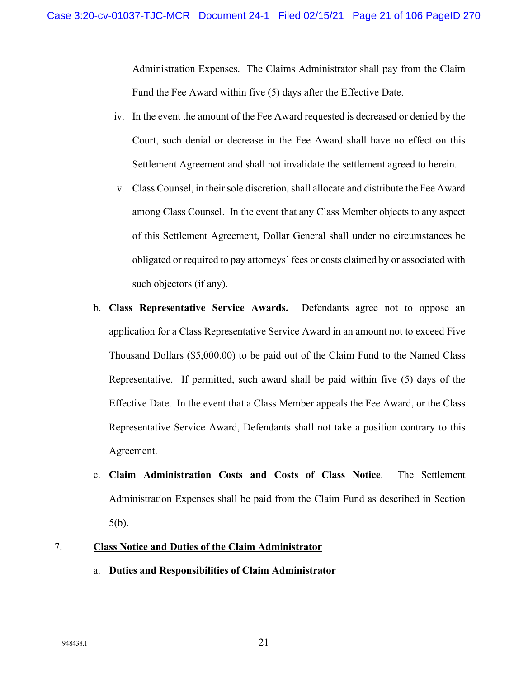Administration Expenses. The Claims Administrator shall pay from the Claim Fund the Fee Award within five (5) days after the Effective Date.

- iv. In the event the amount of the Fee Award requested is decreased or denied by the Court, such denial or decrease in the Fee Award shall have no effect on this Settlement Agreement and shall not invalidate the settlement agreed to herein.
- v. Class Counsel, in their sole discretion, shall allocate and distribute the Fee Award among Class Counsel. In the event that any Class Member objects to any aspect of this Settlement Agreement, Dollar General shall under no circumstances be obligated or required to pay attorneys' fees or costs claimed by or associated with such objectors (if any).
- b. **Class Representative Service Awards.** Defendants agree not to oppose an application for a Class Representative Service Award in an amount not to exceed Five Thousand Dollars (\$5,000.00) to be paid out of the Claim Fund to the Named Class Representative. If permitted, such award shall be paid within five (5) days of the Effective Date. In the event that a Class Member appeals the Fee Award, or the Class Representative Service Award, Defendants shall not take a position contrary to this Agreement.
- c. **Claim Administration Costs and Costs of Class Notice**. The Settlement Administration Expenses shall be paid from the Claim Fund as described in Section 5(b).

### 7. **Class Notice and Duties of the Claim Administrator**

a. **Duties and Responsibilities of Claim Administrator**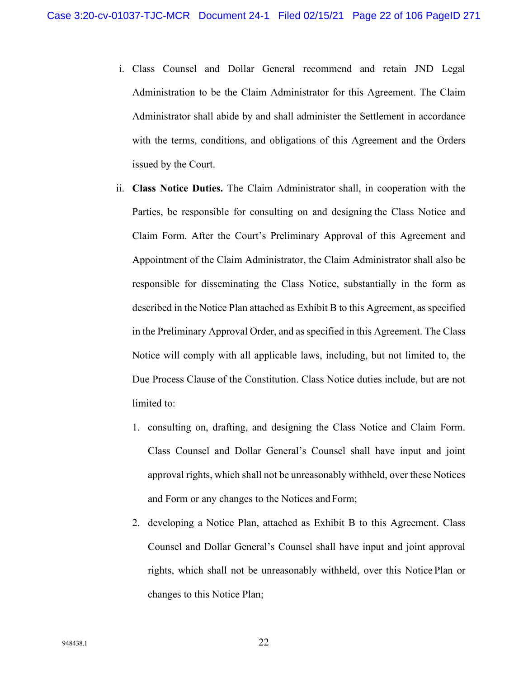- i. Class Counsel and Dollar General recommend and retain JND Legal Administration to be the Claim Administrator for this Agreement. The Claim Administrator shall abide by and shall administer the Settlement in accordance with the terms, conditions, and obligations of this Agreement and the Orders issued by the Court.
- ii. **Class Notice Duties.** The Claim Administrator shall, in cooperation with the Parties, be responsible for consulting on and designing the Class Notice and Claim Form. After the Court's Preliminary Approval of this Agreement and Appointment of the Claim Administrator, the Claim Administrator shall also be responsible for disseminating the Class Notice, substantially in the form as described in the Notice Plan attached as Exhibit B to this Agreement, as specified in the Preliminary Approval Order, and as specified in this Agreement. The Class Notice will comply with all applicable laws, including, but not limited to, the Due Process Clause of the Constitution. Class Notice duties include, but are not limited to:
	- 1. consulting on, drafting, and designing the Class Notice and Claim Form. Class Counsel and Dollar General's Counsel shall have input and joint approval rights, which shall not be unreasonably withheld, over these Notices and Form or any changes to the Notices andForm;
	- 2. developing a Notice Plan, attached as Exhibit B to this Agreement. Class Counsel and Dollar General's Counsel shall have input and joint approval rights, which shall not be unreasonably withheld, over this Notice Plan or changes to this Notice Plan;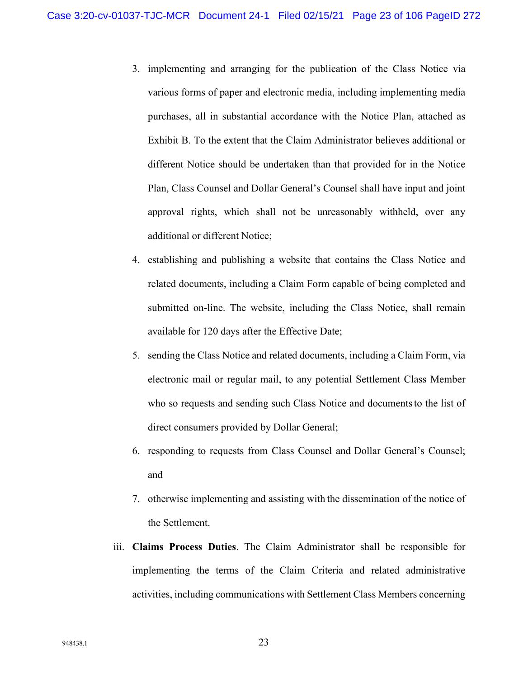- 3. implementing and arranging for the publication of the Class Notice via various forms of paper and electronic media, including implementing media purchases, all in substantial accordance with the Notice Plan, attached as Exhibit B. To the extent that the Claim Administrator believes additional or different Notice should be undertaken than that provided for in the Notice Plan, Class Counsel and Dollar General's Counsel shall have input and joint approval rights, which shall not be unreasonably withheld, over any additional or different Notice;
- 4. establishing and publishing a website that contains the Class Notice and related documents, including a Claim Form capable of being completed and submitted on-line. The website, including the Class Notice, shall remain available for 120 days after the Effective Date;
- 5. sending the Class Notice and related documents, including a Claim Form, via electronic mail or regular mail, to any potential Settlement Class Member who so requests and sending such Class Notice and documents to the list of direct consumers provided by Dollar General;
- 6. responding to requests from Class Counsel and Dollar General's Counsel; and
- 7. otherwise implementing and assisting with the dissemination of the notice of the Settlement.
- iii. **Claims Process Duties**. The Claim Administrator shall be responsible for implementing the terms of the Claim Criteria and related administrative activities, including communications with Settlement Class Members concerning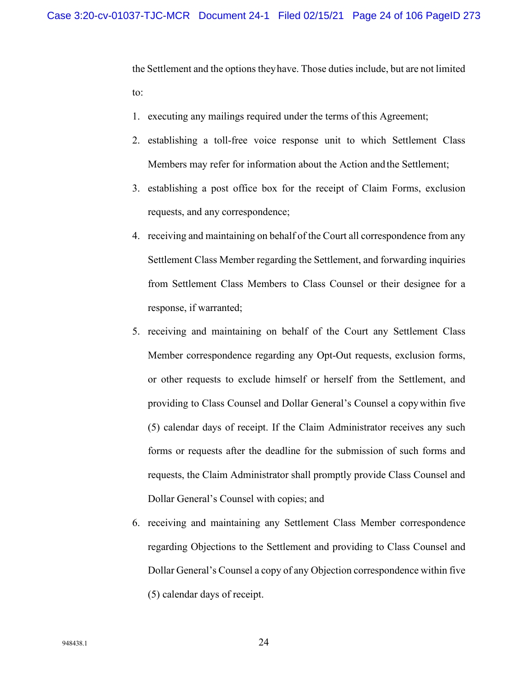the Settlement and the options theyhave. Those duties include, but are not limited to:

- 1. executing any mailings required under the terms of this Agreement;
- 2. establishing a toll-free voice response unit to which Settlement Class Members may refer for information about the Action and the Settlement;
- 3. establishing a post office box for the receipt of Claim Forms, exclusion requests, and any correspondence;
- 4. receiving and maintaining on behalf of the Court all correspondence from any Settlement Class Member regarding the Settlement, and forwarding inquiries from Settlement Class Members to Class Counsel or their designee for a response, if warranted;
- 5. receiving and maintaining on behalf of the Court any Settlement Class Member correspondence regarding any Opt-Out requests, exclusion forms, or other requests to exclude himself or herself from the Settlement, and providing to Class Counsel and Dollar General's Counsel a copywithin five (5) calendar days of receipt. If the Claim Administrator receives any such forms or requests after the deadline for the submission of such forms and requests, the Claim Administrator shall promptly provide Class Counsel and Dollar General's Counsel with copies; and
- 6. receiving and maintaining any Settlement Class Member correspondence regarding Objections to the Settlement and providing to Class Counsel and Dollar General's Counsel a copy of any Objection correspondence within five (5) calendar days of receipt.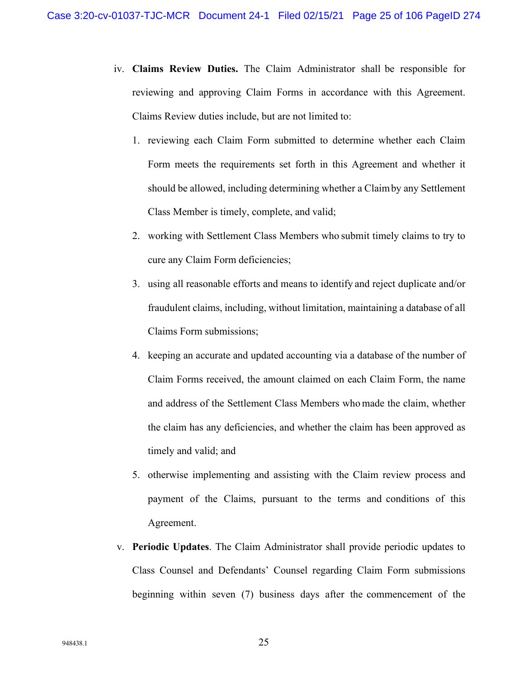- iv. **Claims Review Duties.** The Claim Administrator shall be responsible for reviewing and approving Claim Forms in accordance with this Agreement. Claims Review duties include, but are not limited to:
	- 1. reviewing each Claim Form submitted to determine whether each Claim Form meets the requirements set forth in this Agreement and whether it should be allowed, including determining whether a Claimby any Settlement Class Member is timely, complete, and valid;
	- 2. working with Settlement Class Members who submit timely claims to try to cure any Claim Form deficiencies;
	- 3. using all reasonable efforts and means to identify and reject duplicate and/or fraudulent claims, including, without limitation, maintaining a database of all Claims Form submissions;
	- 4. keeping an accurate and updated accounting via a database of the number of Claim Forms received, the amount claimed on each Claim Form, the name and address of the Settlement Class Members who made the claim, whether the claim has any deficiencies, and whether the claim has been approved as timely and valid; and
	- 5. otherwise implementing and assisting with the Claim review process and payment of the Claims, pursuant to the terms and conditions of this Agreement.
- v. **Periodic Updates**. The Claim Administrator shall provide periodic updates to Class Counsel and Defendants' Counsel regarding Claim Form submissions beginning within seven (7) business days after the commencement of the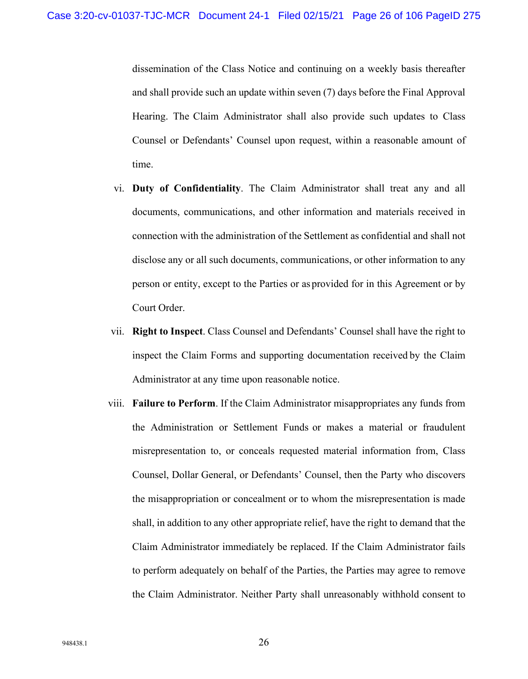dissemination of the Class Notice and continuing on a weekly basis thereafter and shall provide such an update within seven (7) days before the Final Approval Hearing. The Claim Administrator shall also provide such updates to Class Counsel or Defendants' Counsel upon request, within a reasonable amount of time.

- vi. **Duty of Confidentiality**. The Claim Administrator shall treat any and all documents, communications, and other information and materials received in connection with the administration of the Settlement as confidential and shall not disclose any or all such documents, communications, or other information to any person or entity, except to the Parties or as provided for in this Agreement or by Court Order.
- vii. **Right to Inspect**. Class Counsel and Defendants' Counsel shall have the right to inspect the Claim Forms and supporting documentation received by the Claim Administrator at any time upon reasonable notice.
- viii. **Failure to Perform**. If the Claim Administrator misappropriates any funds from the Administration or Settlement Funds or makes a material or fraudulent misrepresentation to, or conceals requested material information from, Class Counsel, Dollar General, or Defendants' Counsel, then the Party who discovers the misappropriation or concealment or to whom the misrepresentation is made shall, in addition to any other appropriate relief, have the right to demand that the Claim Administrator immediately be replaced. If the Claim Administrator fails to perform adequately on behalf of the Parties, the Parties may agree to remove the Claim Administrator. Neither Party shall unreasonably withhold consent to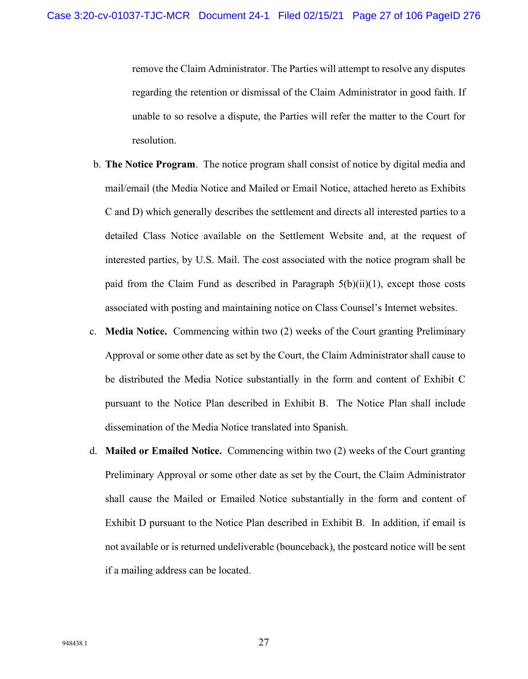remove the Claim Administrator. The Parties will attempt to resolve any disputes regarding the retention or dismissal of the Claim Administrator in good faith. If unable to so resolve a dispute, the Parties will refer the matter to the Court for resolution.

- b. **The Notice Program**. The notice program shall consist of notice by digital media and mail/email (the Media Notice and Mailed or Email Notice, attached hereto as Exhibits C and D) which generally describes the settlement and directs all interested parties to a detailed Class Notice available on the Settlement Website and, at the request of interested parties, by U.S. Mail. The cost associated with the notice program shall be paid from the Claim Fund as described in Paragraph  $5(b)(ii)(1)$ , except those costs associated with posting and maintaining notice on Class Counsel's Internet websites.
- c. **Media Notice.** Commencing within two (2) weeks of the Court granting Preliminary Approval or some other date as set by the Court, the Claim Administrator shall cause to be distributed the Media Notice substantially in the form and content of Exhibit C pursuant to the Notice Plan described in Exhibit B. The Notice Plan shall include dissemination of the Media Notice translated into Spanish.
- d. **Mailed or Emailed Notice.** Commencing within two (2) weeks of the Court granting Preliminary Approval or some other date as set by the Court, the Claim Administrator shall cause the Mailed or Emailed Notice substantially in the form and content of Exhibit D pursuant to the Notice Plan described in Exhibit B. In addition, if email is not available or is returned undeliverable (bounceback), the postcard notice will be sent if a mailing address can be located.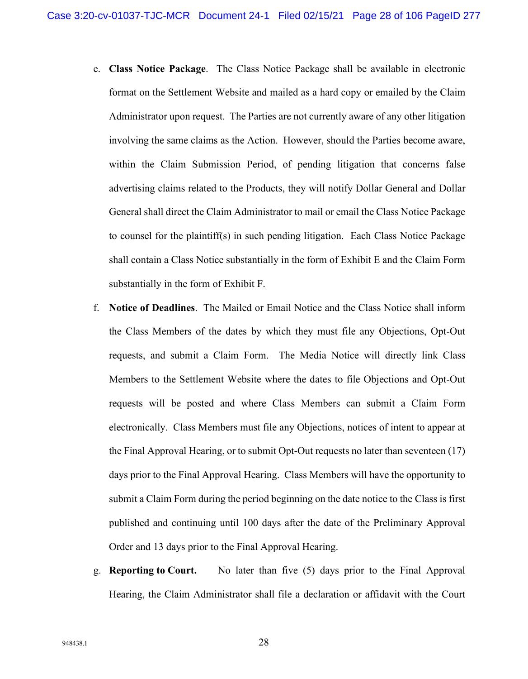- e. **Class Notice Package**. The Class Notice Package shall be available in electronic format on the Settlement Website and mailed as a hard copy or emailed by the Claim Administrator upon request. The Parties are not currently aware of any other litigation involving the same claims as the Action. However, should the Parties become aware, within the Claim Submission Period, of pending litigation that concerns false advertising claims related to the Products, they will notify Dollar General and Dollar General shall direct the Claim Administrator to mail or email the Class Notice Package to counsel for the plaintiff(s) in such pending litigation. Each Class Notice Package shall contain a Class Notice substantially in the form of Exhibit E and the Claim Form substantially in the form of Exhibit F.
- f. **Notice of Deadlines**. The Mailed or Email Notice and the Class Notice shall inform the Class Members of the dates by which they must file any Objections, Opt-Out requests, and submit a Claim Form. The Media Notice will directly link Class Members to the Settlement Website where the dates to file Objections and Opt-Out requests will be posted and where Class Members can submit a Claim Form electronically. Class Members must file any Objections, notices of intent to appear at the Final Approval Hearing, or to submit Opt-Out requests no later than seventeen (17) days prior to the Final Approval Hearing. Class Members will have the opportunity to submit a Claim Form during the period beginning on the date notice to the Class is first published and continuing until 100 days after the date of the Preliminary Approval Order and 13 days prior to the Final Approval Hearing.
- g. **Reporting to Court.** No later than five (5) days prior to the Final Approval Hearing, the Claim Administrator shall file a declaration or affidavit with the Court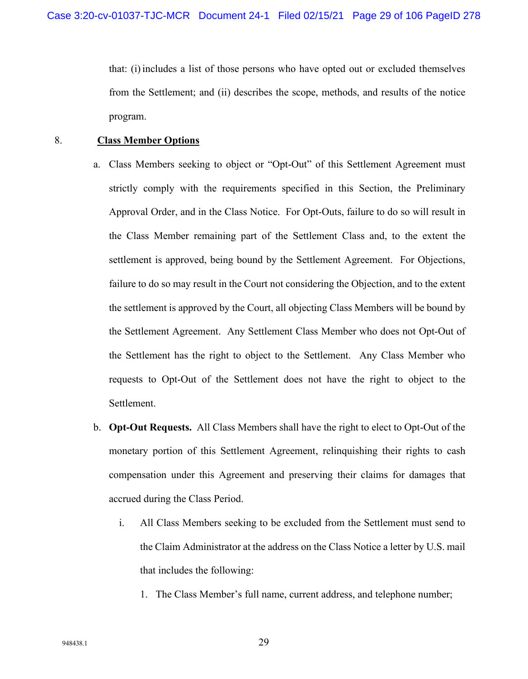that: (i) includes a list of those persons who have opted out or excluded themselves from the Settlement; and (ii) describes the scope, methods, and results of the notice program.

#### 8. **Class Member Options**

- a. Class Members seeking to object or "Opt-Out" of this Settlement Agreement must strictly comply with the requirements specified in this Section, the Preliminary Approval Order, and in the Class Notice. For Opt-Outs, failure to do so will result in the Class Member remaining part of the Settlement Class and, to the extent the settlement is approved, being bound by the Settlement Agreement. For Objections, failure to do so may result in the Court not considering the Objection, and to the extent the settlement is approved by the Court, all objecting Class Members will be bound by the Settlement Agreement. Any Settlement Class Member who does not Opt-Out of the Settlement has the right to object to the Settlement. Any Class Member who requests to Opt-Out of the Settlement does not have the right to object to the Settlement.
- b. **Opt-Out Requests.** All Class Members shall have the right to elect to Opt-Out of the monetary portion of this Settlement Agreement, relinquishing their rights to cash compensation under this Agreement and preserving their claims for damages that accrued during the Class Period.
	- i. All Class Members seeking to be excluded from the Settlement must send to the Claim Administrator at the address on the Class Notice a letter by U.S. mail that includes the following:
		- 1. The Class Member's full name, current address, and telephone number;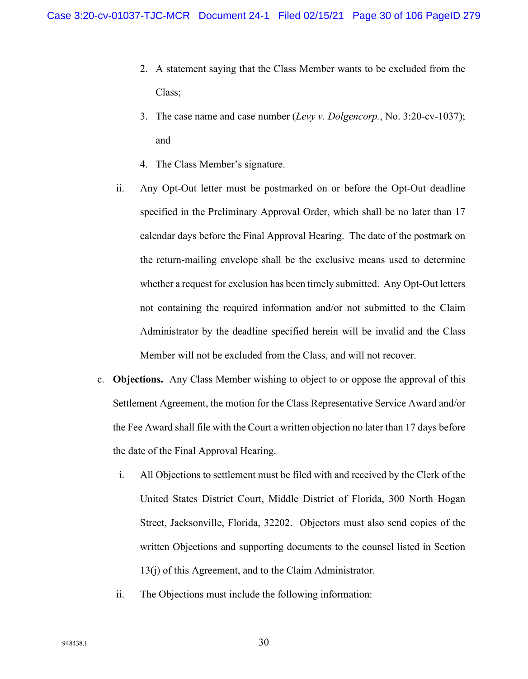- 2. A statement saying that the Class Member wants to be excluded from the Class;
- 3. The case name and case number (*Levy v. Dolgencorp.*, No. 3:20-cv-1037); and
- 4. The Class Member's signature.
- ii. Any Opt-Out letter must be postmarked on or before the Opt-Out deadline specified in the Preliminary Approval Order, which shall be no later than 17 calendar days before the Final Approval Hearing. The date of the postmark on the return-mailing envelope shall be the exclusive means used to determine whether a request for exclusion has been timely submitted. Any Opt-Out letters not containing the required information and/or not submitted to the Claim Administrator by the deadline specified herein will be invalid and the Class Member will not be excluded from the Class, and will not recover.
- c. **Objections.** Any Class Member wishing to object to or oppose the approval of this Settlement Agreement, the motion for the Class Representative Service Award and/or the Fee Award shall file with the Court a written objection no later than 17 days before the date of the Final Approval Hearing.
	- i. All Objections to settlement must be filed with and received by the Clerk of the United States District Court, Middle District of Florida, 300 North Hogan Street, Jacksonville, Florida, 32202. Objectors must also send copies of the written Objections and supporting documents to the counsel listed in Section 13(j) of this Agreement, and to the Claim Administrator.
	- ii. The Objections must include the following information: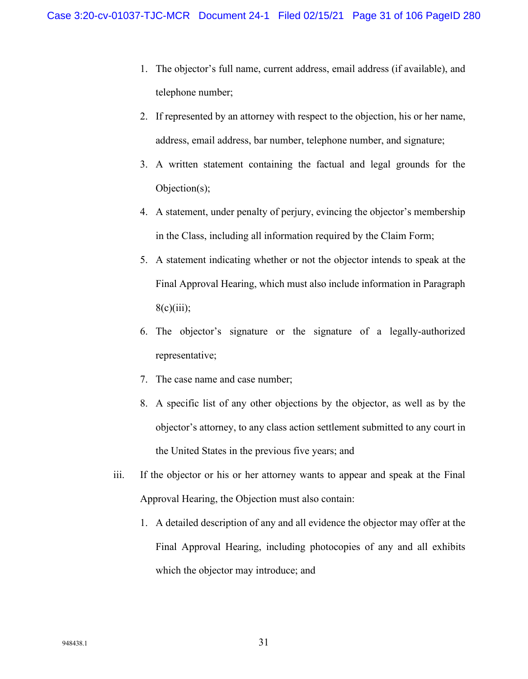- 1. The objector's full name, current address, email address (if available), and telephone number;
- 2. If represented by an attorney with respect to the objection, his or her name, address, email address, bar number, telephone number, and signature;
- 3. A written statement containing the factual and legal grounds for the Objection(s);
- 4. A statement, under penalty of perjury, evincing the objector's membership in the Class, including all information required by the Claim Form;
- 5. A statement indicating whether or not the objector intends to speak at the Final Approval Hearing, which must also include information in Paragraph  $8(c)(iii);$
- 6. The objector's signature or the signature of a legally-authorized representative;
- 7. The case name and case number;
- 8. A specific list of any other objections by the objector, as well as by the objector's attorney, to any class action settlement submitted to any court in the United States in the previous five years; and
- iii. If the objector or his or her attorney wants to appear and speak at the Final Approval Hearing, the Objection must also contain:
	- 1. A detailed description of any and all evidence the objector may offer at the Final Approval Hearing, including photocopies of any and all exhibits which the objector may introduce; and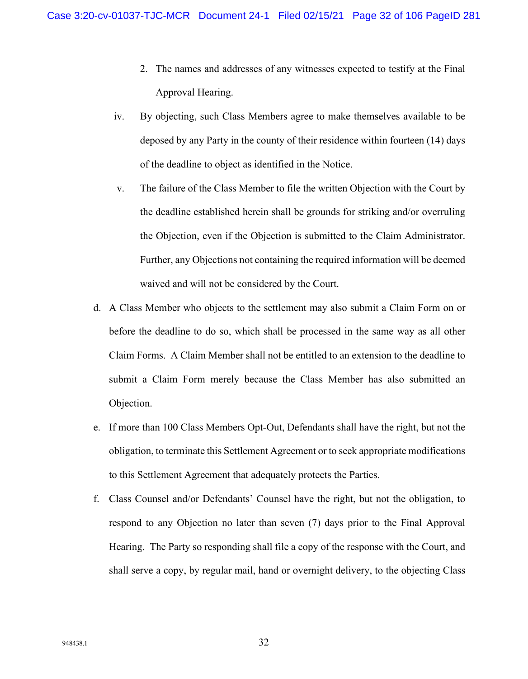- 2. The names and addresses of any witnesses expected to testify at the Final Approval Hearing.
- iv. By objecting, such Class Members agree to make themselves available to be deposed by any Party in the county of their residence within fourteen (14) days of the deadline to object as identified in the Notice.
- v. The failure of the Class Member to file the written Objection with the Court by the deadline established herein shall be grounds for striking and/or overruling the Objection, even if the Objection is submitted to the Claim Administrator. Further, any Objections not containing the required information will be deemed waived and will not be considered by the Court.
- d. A Class Member who objects to the settlement may also submit a Claim Form on or before the deadline to do so, which shall be processed in the same way as all other Claim Forms. A Claim Member shall not be entitled to an extension to the deadline to submit a Claim Form merely because the Class Member has also submitted an Objection.
- e. If more than 100 Class Members Opt-Out, Defendants shall have the right, but not the obligation, to terminate this Settlement Agreement or to seek appropriate modifications to this Settlement Agreement that adequately protects the Parties.
- f. Class Counsel and/or Defendants' Counsel have the right, but not the obligation, to respond to any Objection no later than seven (7) days prior to the Final Approval Hearing. The Party so responding shall file a copy of the response with the Court, and shall serve a copy, by regular mail, hand or overnight delivery, to the objecting Class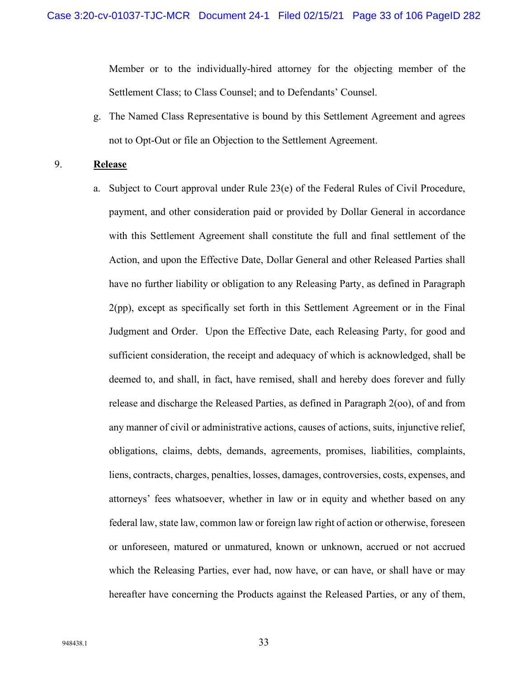Member or to the individually-hired attorney for the objecting member of the Settlement Class; to Class Counsel; and to Defendants' Counsel.

g. The Named Class Representative is bound by this Settlement Agreement and agrees not to Opt-Out or file an Objection to the Settlement Agreement.

# 9. **Release**

a. Subject to Court approval under Rule  $23(e)$  of the Federal Rules of Civil Procedure, payment, and other consideration paid or provided by Dollar General in accordance with this Settlement Agreement shall constitute the full and final settlement of the Action, and upon the Effective Date, Dollar General and other Released Parties shall have no further liability or obligation to any Releasing Party, as defined in Paragraph 2(pp), except as specifically set forth in this Settlement Agreement or in the Final Judgment and Order. Upon the Effective Date, each Releasing Party, for good and sufficient consideration, the receipt and adequacy of which is acknowledged, shall be deemed to, and shall, in fact, have remised, shall and hereby does forever and fully release and discharge the Released Parties, as defined in Paragraph 2(oo), of and from any manner of civil or administrative actions, causes of actions, suits, injunctive relief, obligations, claims, debts, demands, agreements, promises, liabilities, complaints, liens, contracts, charges, penalties, losses, damages, controversies, costs, expenses, and attorneys' fees whatsoever, whether in law or in equity and whether based on any federal law, state law, common law or foreign law right of action or otherwise, foreseen or unforeseen, matured or unmatured, known or unknown, accrued or not accrued which the Releasing Parties, ever had, now have, or can have, or shall have or may hereafter have concerning the Products against the Released Parties, or any of them,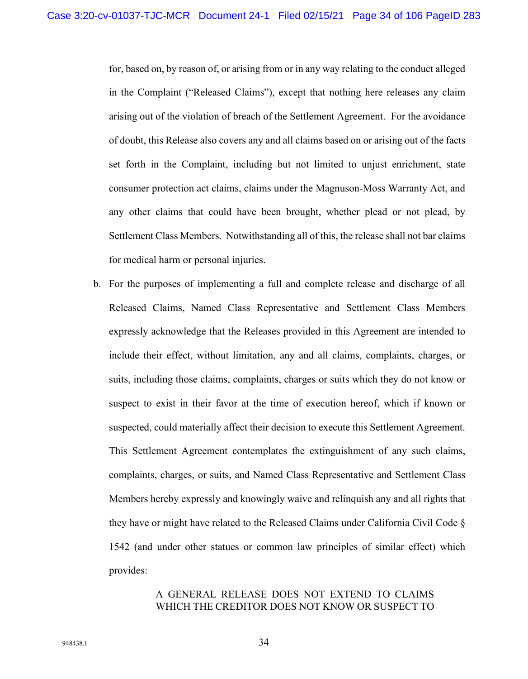for, based on, by reason of, or arising from or in any way relating to the conduct alleged in the Complaint ("Released Claims"), except that nothing here releases any claim arising out of the violation of breach of the Settlement Agreement. For the avoidance of doubt, this Release also covers any and all claims based on or arising out of the facts set forth in the Complaint, including but not limited to unjust enrichment, state consumer protection act claims, claims under the Magnuson-Moss Warranty Act, and any other claims that could have been brought, whether plead or not plead, by Settlement Class Members. Notwithstanding all of this, the release shall not bar claims for medical harm or personal injuries.

b. For the purposes of implementing a full and complete release and discharge of all Released Claims, Named Class Representative and Settlement Class Members expressly acknowledge that the Releases provided in this Agreement are intended to include their effect, without limitation, any and all claims, complaints, charges, or suits, including those claims, complaints, charges or suits which they do not know or suspect to exist in their favor at the time of execution hereof, which if known or suspected, could materially affect their decision to execute this Settlement Agreement. This Settlement Agreement contemplates the extinguishment of any such claims, complaints, charges, or suits, and Named Class Representative and Settlement Class Members hereby expressly and knowingly waive and relinquish any and all rights that they have or might have related to the Released Claims under California Civil Code § 1542 (and under other statues or common law principles of similar effect) which provides:

# A GENERAL RELEASE DOES NOT EXTEND TO CLAIMS WHICH THE CREDITOR DOES NOT KNOW OR SUSPECT TO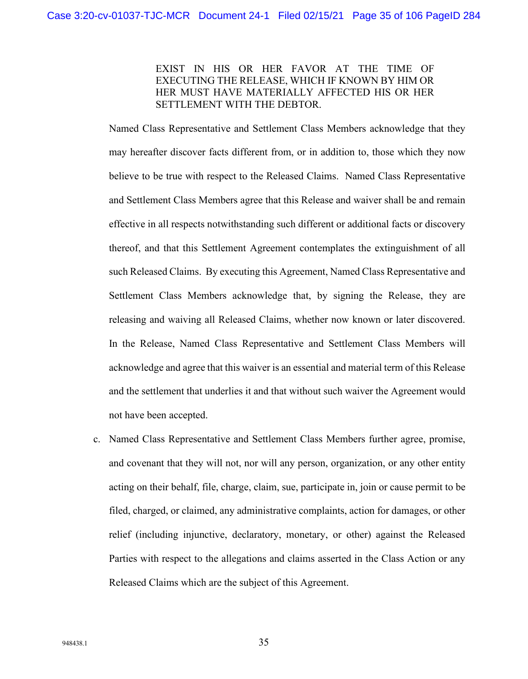# EXIST IN HIS OR HER FAVOR AT THE TIME OF EXECUTING THE RELEASE, WHICH IF KNOWN BY HIM OR HER MUST HAVE MATERIALLY AFFECTED HIS OR HER SETTLEMENT WITH THE DEBTOR.

Named Class Representative and Settlement Class Members acknowledge that they may hereafter discover facts different from, or in addition to, those which they now believe to be true with respect to the Released Claims. Named Class Representative and Settlement Class Members agree that this Release and waiver shall be and remain effective in all respects notwithstanding such different or additional facts or discovery thereof, and that this Settlement Agreement contemplates the extinguishment of all such Released Claims. By executing this Agreement, Named Class Representative and Settlement Class Members acknowledge that, by signing the Release, they are releasing and waiving all Released Claims, whether now known or later discovered. In the Release, Named Class Representative and Settlement Class Members will acknowledge and agree that this waiver is an essential and material term of this Release and the settlement that underlies it and that without such waiver the Agreement would not have been accepted.

c. Named Class Representative and Settlement Class Members further agree, promise, and covenant that they will not, nor will any person, organization, or any other entity acting on their behalf, file, charge, claim, sue, participate in, join or cause permit to be filed, charged, or claimed, any administrative complaints, action for damages, or other relief (including injunctive, declaratory, monetary, or other) against the Released Parties with respect to the allegations and claims asserted in the Class Action or any Released Claims which are the subject of this Agreement.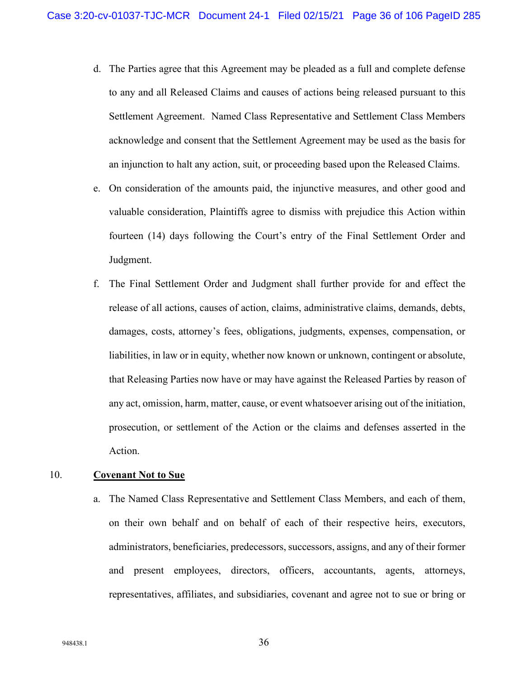- d. The Parties agree that this Agreement may be pleaded as a full and complete defense to any and all Released Claims and causes of actions being released pursuant to this Settlement Agreement. Named Class Representative and Settlement Class Members acknowledge and consent that the Settlement Agreement may be used as the basis for an injunction to halt any action, suit, or proceeding based upon the Released Claims.
- e. On consideration of the amounts paid, the injunctive measures, and other good and valuable consideration, Plaintiffs agree to dismiss with prejudice this Action within fourteen (14) days following the Court's entry of the Final Settlement Order and Judgment.
- f. The Final Settlement Order and Judgment shall further provide for and effect the release of all actions, causes of action, claims, administrative claims, demands, debts, damages, costs, attorney's fees, obligations, judgments, expenses, compensation, or liabilities, in law or in equity, whether now known or unknown, contingent or absolute, that Releasing Parties now have or may have against the Released Parties by reason of any act, omission, harm, matter, cause, or event whatsoever arising out of the initiation, prosecution, or settlement of the Action or the claims and defenses asserted in the Action.

#### 10. **Covenant Not to Sue**

a. The Named Class Representative and Settlement Class Members, and each of them, on their own behalf and on behalf of each of their respective heirs, executors, administrators, beneficiaries, predecessors, successors, assigns, and any of their former and present employees, directors, officers, accountants, agents, attorneys, representatives, affiliates, and subsidiaries, covenant and agree not to sue or bring or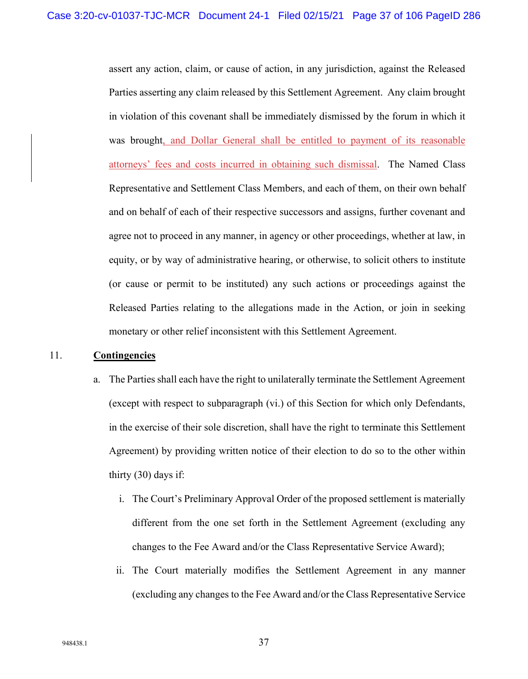assert any action, claim, or cause of action, in any jurisdiction, against the Released Parties asserting any claim released by this Settlement Agreement. Any claim brought in violation of this covenant shall be immediately dismissed by the forum in which it was brought, and Dollar General shall be entitled to payment of its reasonable attorneys' fees and costs incurred in obtaining such dismissal. The Named Class Representative and Settlement Class Members, and each of them, on their own behalf and on behalf of each of their respective successors and assigns, further covenant and agree not to proceed in any manner, in agency or other proceedings, whether at law, in equity, or by way of administrative hearing, or otherwise, to solicit others to institute (or cause or permit to be instituted) any such actions or proceedings against the Released Parties relating to the allegations made in the Action, or join in seeking monetary or other relief inconsistent with this Settlement Agreement.

#### 11. **Contingencies**

- a. The Parties shall each have the right to unilaterally terminate the Settlement Agreement (except with respect to subparagraph (vi.) of this Section for which only Defendants, in the exercise of their sole discretion, shall have the right to terminate this Settlement Agreement) by providing written notice of their election to do so to the other within thirty (30) days if:
	- i. The Court's Preliminary Approval Order of the proposed settlement is materially different from the one set forth in the Settlement Agreement (excluding any changes to the Fee Award and/or the Class Representative Service Award);
	- ii. The Court materially modifies the Settlement Agreement in any manner (excluding any changes to the Fee Award and/or the Class Representative Service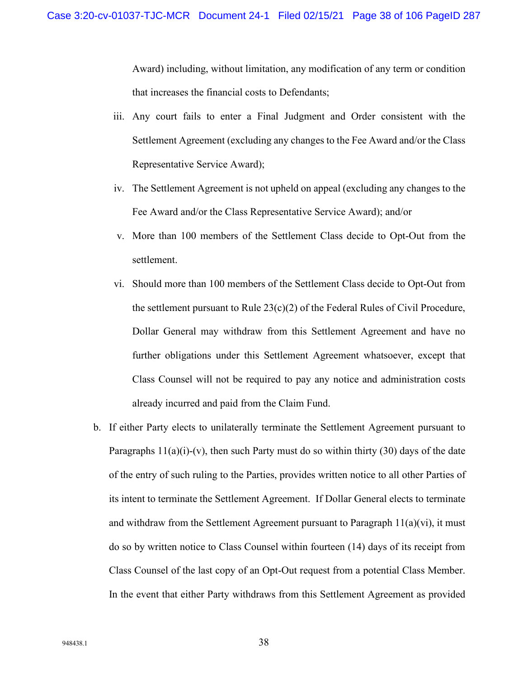Award) including, without limitation, any modification of any term or condition that increases the financial costs to Defendants;

- iii. Any court fails to enter a Final Judgment and Order consistent with the Settlement Agreement (excluding any changes to the Fee Award and/or the Class Representative Service Award);
- iv. The Settlement Agreement is not upheld on appeal (excluding any changes to the Fee Award and/or the Class Representative Service Award); and/or
- v. More than 100 members of the Settlement Class decide to Opt-Out from the settlement.
- vi. Should more than 100 members of the Settlement Class decide to Opt-Out from the settlement pursuant to Rule  $23(c)(2)$  of the Federal Rules of Civil Procedure, Dollar General may withdraw from this Settlement Agreement and have no further obligations under this Settlement Agreement whatsoever, except that Class Counsel will not be required to pay any notice and administration costs already incurred and paid from the Claim Fund.
- b. If either Party elects to unilaterally terminate the Settlement Agreement pursuant to Paragraphs  $11(a)(i)-(v)$ , then such Party must do so within thirty (30) days of the date of the entry of such ruling to the Parties, provides written notice to all other Parties of its intent to terminate the Settlement Agreement. If Dollar General elects to terminate and withdraw from the Settlement Agreement pursuant to Paragraph  $11(a)(vi)$ , it must do so by written notice to Class Counsel within fourteen (14) days of its receipt from Class Counsel of the last copy of an Opt-Out request from a potential Class Member. In the event that either Party withdraws from this Settlement Agreement as provided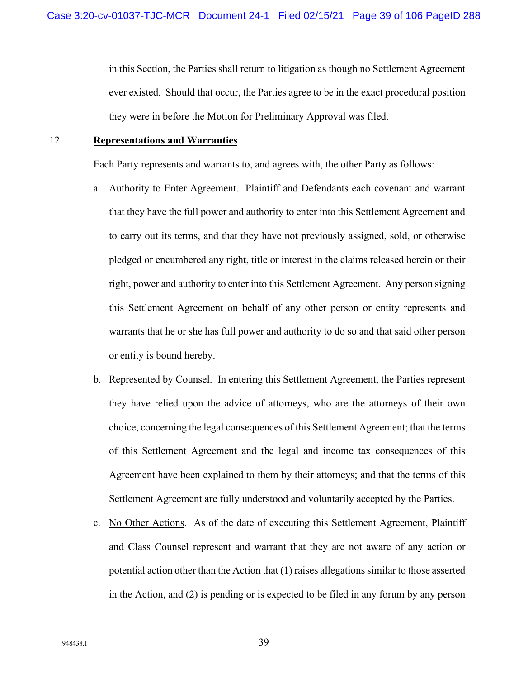in this Section, the Parties shall return to litigation as though no Settlement Agreement ever existed. Should that occur, the Parties agree to be in the exact procedural position they were in before the Motion for Preliminary Approval was filed.

#### 12. **Representations and Warranties**

Each Party represents and warrants to, and agrees with, the other Party as follows:

- a. Authority to Enter Agreement. Plaintiff and Defendants each covenant and warrant that they have the full power and authority to enter into this Settlement Agreement and to carry out its terms, and that they have not previously assigned, sold, or otherwise pledged or encumbered any right, title or interest in the claims released herein or their right, power and authority to enter into this Settlement Agreement. Any person signing this Settlement Agreement on behalf of any other person or entity represents and warrants that he or she has full power and authority to do so and that said other person or entity is bound hereby.
- b. Represented by Counsel. In entering this Settlement Agreement, the Parties represent they have relied upon the advice of attorneys, who are the attorneys of their own choice, concerning the legal consequences of this Settlement Agreement; that the terms of this Settlement Agreement and the legal and income tax consequences of this Agreement have been explained to them by their attorneys; and that the terms of this Settlement Agreement are fully understood and voluntarily accepted by the Parties.
- c. No Other Actions. As of the date of executing this Settlement Agreement, Plaintiff and Class Counsel represent and warrant that they are not aware of any action or potential action other than the Action that (1) raises allegations similar to those asserted in the Action, and (2) is pending or is expected to be filed in any forum by any person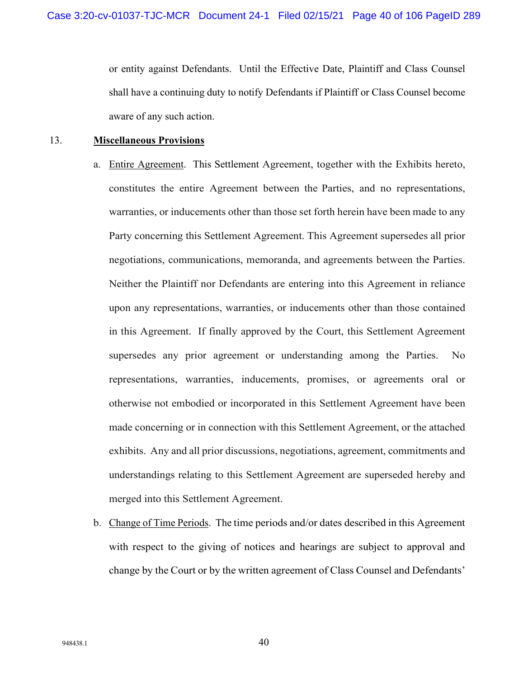or entity against Defendants. Until the Effective Date, Plaintiff and Class Counsel shall have a continuing duty to notify Defendants if Plaintiff or Class Counsel become aware of any such action.

#### 13. **Miscellaneous Provisions**

- a. Entire Agreement.This Settlement Agreement, together with the Exhibits hereto, constitutes the entire Agreement between the Parties, and no representations, warranties, or inducements other than those set forth herein have been made to any Party concerning this Settlement Agreement. This Agreement supersedes all prior negotiations, communications, memoranda, and agreements between the Parties. Neither the Plaintiff nor Defendants are entering into this Agreement in reliance upon any representations, warranties, or inducements other than those contained in this Agreement. If finally approved by the Court, this Settlement Agreement supersedes any prior agreement or understanding among the Parties. No representations, warranties, inducements, promises, or agreements oral or otherwise not embodied or incorporated in this Settlement Agreement have been made concerning or in connection with this Settlement Agreement, or the attached exhibits. Any and all prior discussions, negotiations, agreement, commitments and understandings relating to this Settlement Agreement are superseded hereby and merged into this Settlement Agreement.
- b. Change of Time Periods.The time periods and/or dates described in this Agreement with respect to the giving of notices and hearings are subject to approval and change by the Court or by the written agreement of Class Counsel and Defendants'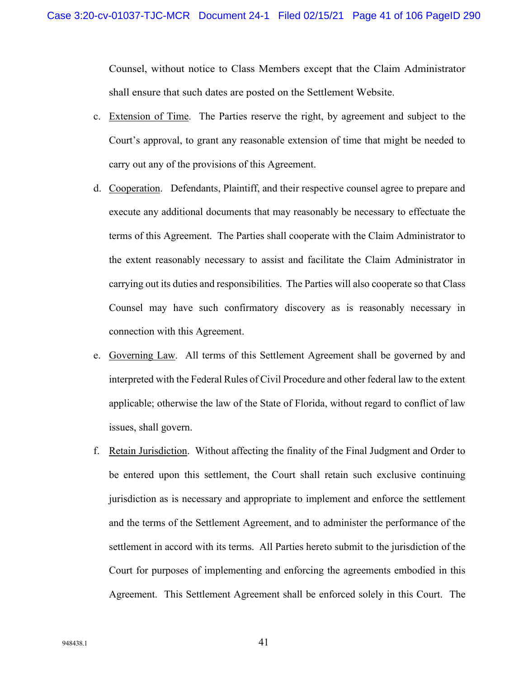Counsel, without notice to Class Members except that the Claim Administrator shall ensure that such dates are posted on the Settlement Website.

- c. Extension of Time. The Parties reserve the right, by agreement and subject to the Court's approval, to grant any reasonable extension of time that might be needed to carry out any of the provisions of this Agreement.
- d. Cooperation.Defendants, Plaintiff, and their respective counsel agree to prepare and execute any additional documents that may reasonably be necessary to effectuate the terms of this Agreement. The Parties shall cooperate with the Claim Administrator to the extent reasonably necessary to assist and facilitate the Claim Administrator in carrying out its duties and responsibilities. The Parties will also cooperate so that Class Counsel may have such confirmatory discovery as is reasonably necessary in connection with this Agreement.
- e. Governing Law. All terms of this Settlement Agreement shall be governed by and interpreted with the Federal Rules of Civil Procedure and other federal law to the extent applicable; otherwise the law of the State of Florida, without regard to conflict of law issues, shall govern.
- f. Retain Jurisdiction. Without affecting the finality of the Final Judgment and Order to be entered upon this settlement, the Court shall retain such exclusive continuing jurisdiction as is necessary and appropriate to implement and enforce the settlement and the terms of the Settlement Agreement, and to administer the performance of the settlement in accord with its terms. All Parties hereto submit to the jurisdiction of the Court for purposes of implementing and enforcing the agreements embodied in this Agreement. This Settlement Agreement shall be enforced solely in this Court. The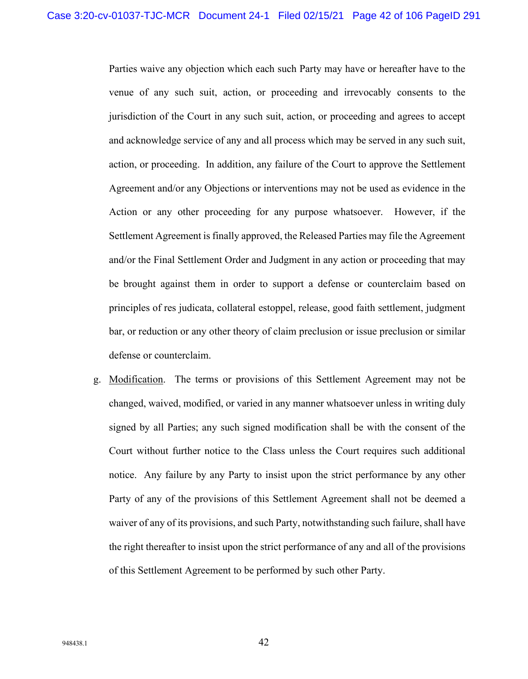Parties waive any objection which each such Party may have or hereafter have to the venue of any such suit, action, or proceeding and irrevocably consents to the jurisdiction of the Court in any such suit, action, or proceeding and agrees to accept and acknowledge service of any and all process which may be served in any such suit, action, or proceeding. In addition, any failure of the Court to approve the Settlement Agreement and/or any Objections or interventions may not be used as evidence in the Action or any other proceeding for any purpose whatsoever. However, if the Settlement Agreement is finally approved, the Released Parties may file the Agreement and/or the Final Settlement Order and Judgment in any action or proceeding that may be brought against them in order to support a defense or counterclaim based on principles of res judicata, collateral estoppel, release, good faith settlement, judgment bar, or reduction or any other theory of claim preclusion or issue preclusion or similar defense or counterclaim.

g. Modification. The terms or provisions of this Settlement Agreement may not be changed, waived, modified, or varied in any manner whatsoever unless in writing duly signed by all Parties; any such signed modification shall be with the consent of the Court without further notice to the Class unless the Court requires such additional notice. Any failure by any Party to insist upon the strict performance by any other Party of any of the provisions of this Settlement Agreement shall not be deemed a waiver of any of its provisions, and such Party, notwithstanding such failure, shall have the right thereafter to insist upon the strict performance of any and all of the provisions of this Settlement Agreement to be performed by such other Party.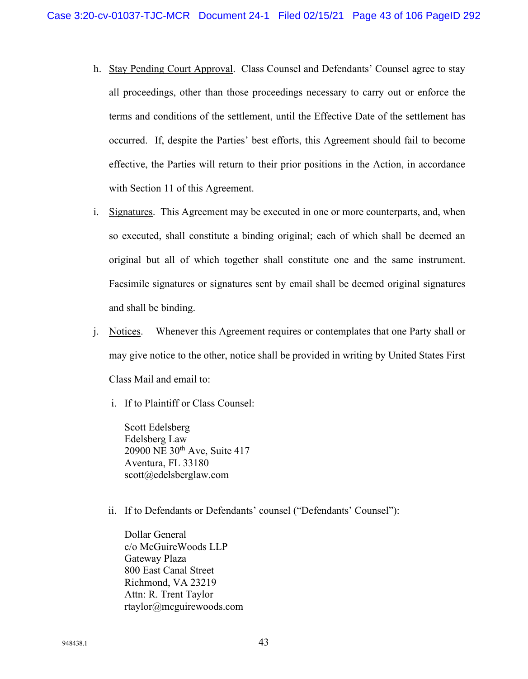- h. Stay Pending Court Approval.Class Counsel and Defendants' Counsel agree to stay all proceedings, other than those proceedings necessary to carry out or enforce the terms and conditions of the settlement, until the Effective Date of the settlement has occurred. If, despite the Parties' best efforts, this Agreement should fail to become effective, the Parties will return to their prior positions in the Action, in accordance with Section 11 of this Agreement.
- i. Signatures. This Agreement may be executed in one or more counterparts, and, when so executed, shall constitute a binding original; each of which shall be deemed an original but all of which together shall constitute one and the same instrument. Facsimile signatures or signatures sent by email shall be deemed original signatures and shall be binding.
- j. Notices. Whenever this Agreement requires or contemplates that one Party shall or may give notice to the other, notice shall be provided in writing by United States First Class Mail and email to:
	- i. If to Plaintiff or Class Counsel:

Scott Edelsberg Edelsberg Law 20900 NE 30th Ave, Suite 417 Aventura, FL 33180 scott@edelsberglaw.com

ii. If to Defendants or Defendants' counsel ("Defendants' Counsel"):

Dollar General c/o McGuireWoods LLP Gateway Plaza 800 East Canal Street Richmond, VA 23219 Attn: R. Trent Taylor rtaylor@mcguirewoods.com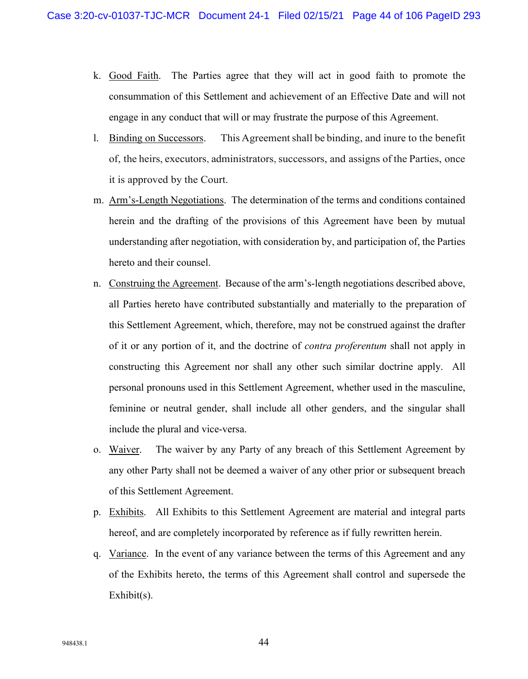- k. Good Faith. The Parties agree that they will act in good faith to promote the consummation of this Settlement and achievement of an Effective Date and will not engage in any conduct that will or may frustrate the purpose of this Agreement.
- l. Binding on Successors. This Agreementshall be binding, and inure to the benefit of, the heirs, executors, administrators, successors, and assigns of the Parties, once it is approved by the Court.
- m. Arm's-Length Negotiations. The determination of the terms and conditions contained herein and the drafting of the provisions of this Agreement have been by mutual understanding after negotiation, with consideration by, and participation of, the Parties hereto and their counsel.
- n. Construing the Agreement. Because of the arm's-length negotiations described above, all Parties hereto have contributed substantially and materially to the preparation of this Settlement Agreement, which, therefore, may not be construed against the drafter of it or any portion of it, and the doctrine of *contra proferentum* shall not apply in constructing this Agreement nor shall any other such similar doctrine apply. All personal pronouns used in this Settlement Agreement, whether used in the masculine, feminine or neutral gender, shall include all other genders, and the singular shall include the plural and vice-versa.
- o. Waiver. The waiver by any Party of any breach of this Settlement Agreement by any other Party shall not be deemed a waiver of any other prior or subsequent breach of this Settlement Agreement.
- p. Exhibits. All Exhibits to this Settlement Agreement are material and integral parts hereof, and are completely incorporated by reference as if fully rewritten herein.
- q. Variance. In the event of any variance between the terms of this Agreement and any of the Exhibits hereto, the terms of this Agreement shall control and supersede the Exhibit(s).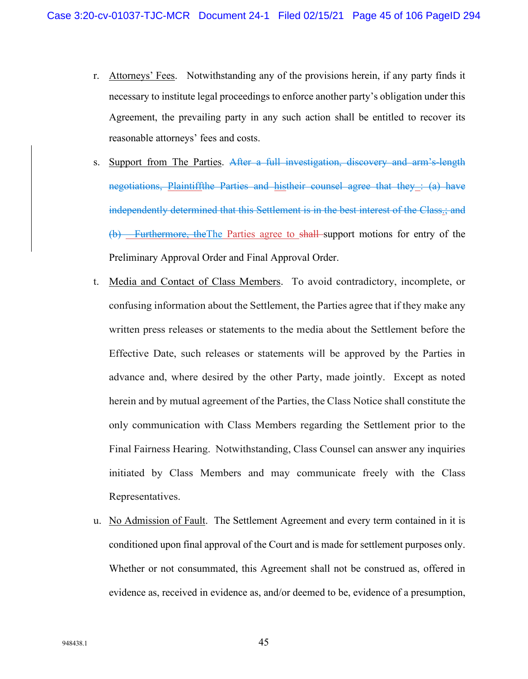- r. Attorneys' Fees. Notwithstanding any of the provisions herein, if any party finds it necessary to institute legal proceedings to enforce another party's obligation under this Agreement, the prevailing party in any such action shall be entitled to recover its reasonable attorneys' fees and costs.
- s. Support from The Parties. After a full investigation, discovery and arm's-length negotiations, Plaintiffthe Parties and histheir counsel agree that they : (a) have independently determined that this Settlement is in the best interest of the Class.; and (b) Furthermore, theThe Parties agree to shall support motions for entry of the Preliminary Approval Order and Final Approval Order.
- t. Media and Contact of Class Members. To avoid contradictory, incomplete, or confusing information about the Settlement, the Parties agree that if they make any written press releases or statements to the media about the Settlement before the Effective Date, such releases or statements will be approved by the Parties in advance and, where desired by the other Party, made jointly. Except as noted herein and by mutual agreement of the Parties, the Class Notice shall constitute the only communication with Class Members regarding the Settlement prior to the Final Fairness Hearing. Notwithstanding, Class Counsel can answer any inquiries initiated by Class Members and may communicate freely with the Class Representatives.
- u. No Admission of Fault. The Settlement Agreement and every term contained in it is conditioned upon final approval of the Court and is made for settlement purposes only. Whether or not consummated, this Agreement shall not be construed as, offered in evidence as, received in evidence as, and/or deemed to be, evidence of a presumption,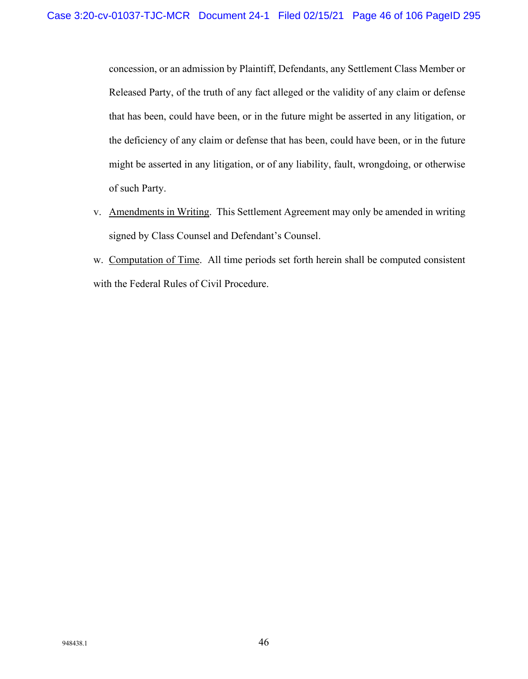concession, or an admission by Plaintiff, Defendants, any Settlement Class Member or Released Party, of the truth of any fact alleged or the validity of any claim or defense that has been, could have been, or in the future might be asserted in any litigation, or the deficiency of any claim or defense that has been, could have been, or in the future might be asserted in any litigation, or of any liability, fault, wrongdoing, or otherwise of such Party.

- v. Amendments in Writing. This Settlement Agreement may only be amended in writing signed by Class Counsel and Defendant's Counsel.
- w. Computation of Time. All time periods set forth herein shall be computed consistent with the Federal Rules of Civil Procedure.